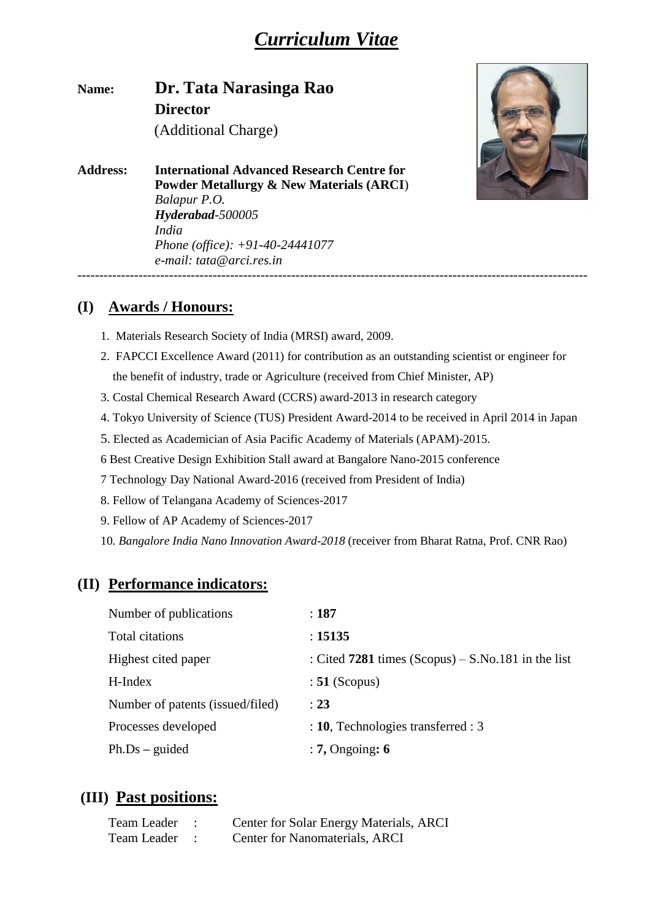# *[Curriculum Vitae](http://www.physics.iisc.ernet.in/~asood/akscv.pdf)*

**Name: Dr. Tata Narasinga Rao Director**  (Additional Charge)

**Address: International Advanced Research Centre for Powder Metallurgy & New Materials (ARCI**) *Balapur P.O. Hyderabad-500005 India Phone (office): +91-40-24441077 e-mail: tata@arci.res.in* ---------------------------------------------------------------------------------------------------------------------



#### **(I) Awards / Honours:**

- 1. Materials Research Society of India (MRSI) award, 2009.
- 2. FAPCCI Excellence Award (2011) for contribution as an outstanding scientist or engineer for the benefit of industry, trade or Agriculture (received from Chief Minister, AP)
- 3. Costal Chemical Research Award (CCRS) award-2013 in research category
- 4. Tokyo University of Science (TUS) President Award-2014 to be received in April 2014 in Japan
- 5. Elected as Academician of Asia Pacific Academy of Materials (APAM)-2015.
- 6 Best Creative Design Exhibition Stall award at Bangalore Nano-2015 conference
- 7 Technology Day National Award-2016 (received from President of India)
- 8. Fellow of Telangana Academy of Sciences-2017
- 9. Fellow of AP Academy of Sciences-2017
- 10*. Bangalore India Nano Innovation Award-2018* (receiver from Bharat Ratna, Prof. CNR Rao)

#### **(II) Performance indicators:**

| Number of publications           | : 187                                                 |
|----------------------------------|-------------------------------------------------------|
| Total citations                  | : 15135                                               |
| Highest cited paper              | : Cited $7281$ times $(Scopy) - S.No.181$ in the list |
| H-Index                          | $: 51$ (Scopus)                                       |
| Number of patents (issued/filed) | $\div 23$                                             |
| Processes developed              | $: 10$ , Technologies transferred : 3                 |
| $Ph.Ds - guided$                 | $: 7,$ Ongoing: 6                                     |

#### **(III) Past positions:**

| Team Leader | Center for Solar Energy Materials, ARCI |
|-------------|-----------------------------------------|
| Team Leader | Center for Nanomaterials, ARCI          |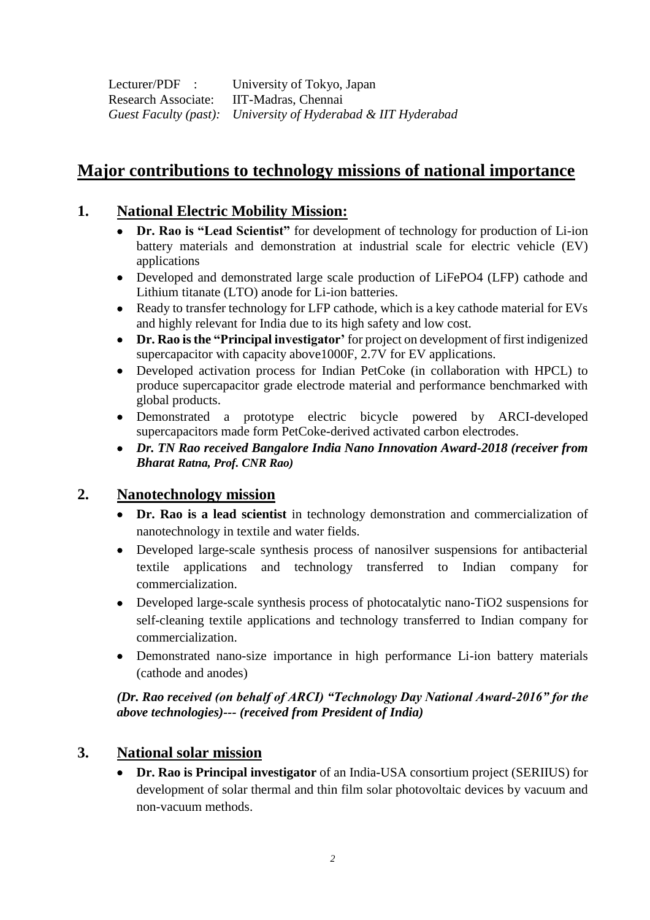Lecturer/PDF : University of Tokyo, Japan Research Associate: IIT-Madras, Chennai *Guest Faculty (past): University of Hyderabad & IIT Hyderabad*

# **Major contributions to technology missions of national importance**

#### **1. National Electric Mobility Mission:**

- **Dr. Rao is "Lead Scientist"** for development of technology for production of Li-ion battery materials and demonstration at industrial scale for electric vehicle (EV) applications
- Developed and demonstrated large scale production of LiFePO4 (LFP) cathode and Lithium titanate (LTO) anode for Li-ion batteries.
- Ready to transfer technology for LFP cathode, which is a key cathode material for EVs and highly relevant for India due to its high safety and low cost.
- **Dr. Rao is the "Principal investigator'** for project on development of first indigenized supercapacitor with capacity above1000F, 2.7V for EV applications.
- Developed activation process for Indian PetCoke (in collaboration with HPCL) to produce supercapacitor grade electrode material and performance benchmarked with global products.
- Demonstrated a prototype electric bicycle powered by ARCI-developed supercapacitors made form PetCoke-derived activated carbon electrodes.
- *Dr. TN Rao received Bangalore India Nano Innovation Award-2018 (receiver from Bharat Ratna, Prof. CNR Rao)*

#### **2. Nanotechnology mission**

- **Dr. Rao is a lead scientist** in technology demonstration and commercialization of nanotechnology in textile and water fields.
- Developed large-scale synthesis process of nanosilver suspensions for antibacterial textile applications and technology transferred to Indian company for commercialization.
- Developed large-scale synthesis process of photocatalytic nano-TiO2 suspensions for self-cleaning textile applications and technology transferred to Indian company for commercialization.
- Demonstrated nano-size importance in high performance Li-ion battery materials (cathode and anodes)

*(Dr. Rao received (on behalf of ARCI) "Technology Day National Award-2016" for the above technologies)--- (received from President of India)*

#### **3. National solar mission**

**• Dr. Rao is Principal investigator** of an India-USA consortium project (SERIIUS) for development of solar thermal and thin film solar photovoltaic devices by vacuum and non-vacuum methods.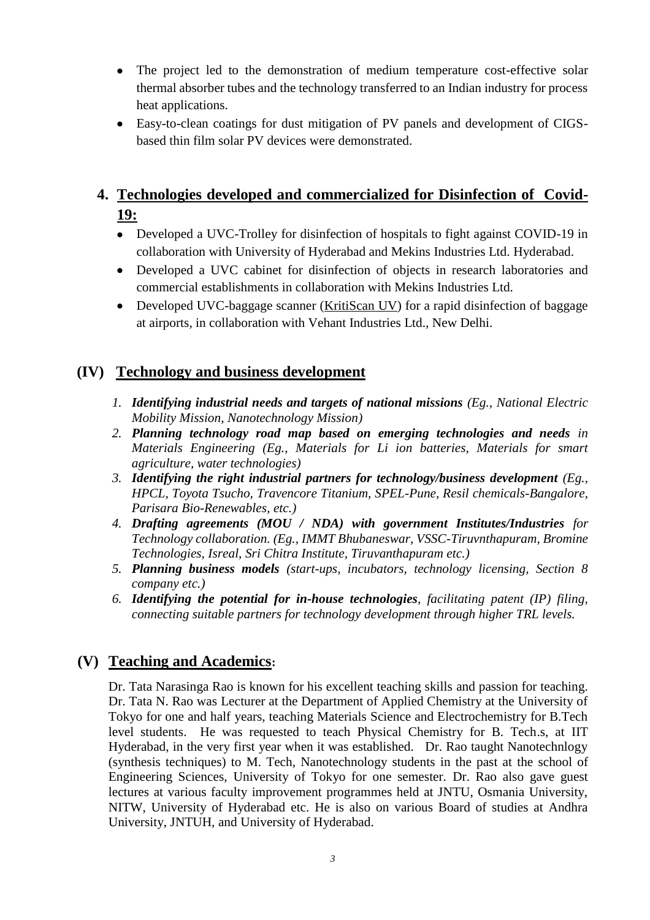- The project led to the demonstration of medium temperature cost-effective solar thermal absorber tubes and the technology transferred to an Indian industry for process heat applications.
- Easy-to-clean coatings for dust mitigation of PV panels and development of CIGSbased thin film solar PV devices were demonstrated.

## **4. Technologies developed and commercialized for Disinfection of Covid-19:**

- Developed a UVC-Trolley for disinfection of hospitals to fight against COVID-19 in collaboration with University of Hyderabad and Mekins Industries Ltd. Hyderabad.
- Developed a UVC cabinet for disinfection of objects in research laboratories and commercial establishments in collaboration with Mekins Industries Ltd.
- Developed UVC-baggage scanner (KritiScan UV) for a rapid disinfection of baggage at airports, in collaboration with Vehant Industries Ltd., New Delhi.

### **(IV) Technology and business development**

- *1. Identifying industrial needs and targets of national missions (Eg., National Electric Mobility Mission, Nanotechnology Mission)*
- *2. Planning technology road map based on emerging technologies and needs in Materials Engineering (Eg., Materials for Li ion batteries, Materials for smart agriculture, water technologies)*
- *3. Identifying the right industrial partners for technology/business development (Eg., HPCL, Toyota Tsucho, Travencore Titanium, SPEL-Pune, Resil chemicals-Bangalore, Parisara Bio-Renewables, etc.)*
- *4. Drafting agreements (MOU / NDA) with government Institutes/Industries for Technology collaboration. (Eg., IMMT Bhubaneswar, VSSC-Tiruvnthapuram, Bromine Technologies, Isreal, Sri Chitra Institute, Tiruvanthapuram etc.)*
- *5. Planning business models (start-ups, incubators, technology licensing, Section 8 company etc.)*
- *6. Identifying the potential for in-house technologies, facilitating patent (IP) filing, connecting suitable partners for technology development through higher TRL levels.*

## **(V) Teaching and Academics:**

Dr. Tata Narasinga Rao is known for his excellent teaching skills and passion for teaching. Dr. Tata N. Rao was Lecturer at the Department of Applied Chemistry at the University of Tokyo for one and half years, teaching Materials Science and Electrochemistry for B.Tech level students. He was requested to teach Physical Chemistry for B. Tech.s, at IIT Hyderabad, in the very first year when it was established. Dr. Rao taught Nanotechnlogy (synthesis techniques) to M. Tech, Nanotechnology students in the past at the school of Engineering Sciences, University of Tokyo for one semester. Dr. Rao also gave guest lectures at various faculty improvement programmes held at JNTU, Osmania University, NITW, University of Hyderabad etc. He is also on various Board of studies at Andhra University, JNTUH, and University of Hyderabad.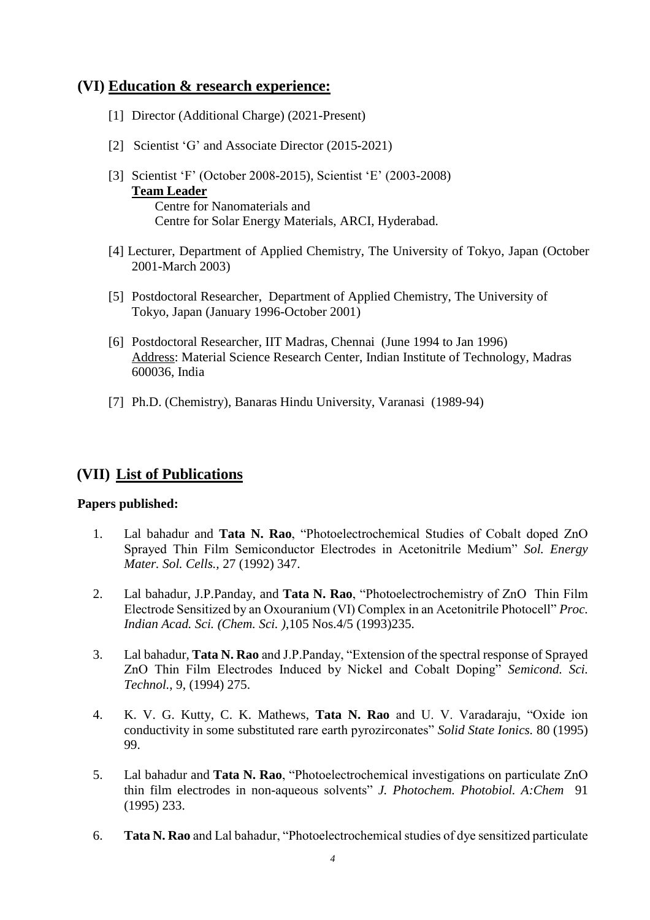#### **(VI) Education & research experience:**

- [1] Director (Additional Charge) (2021-Present)
- [2] Scientist 'G' and Associate Director (2015-2021)
- [3] Scientist 'F' (October 2008-2015), Scientist 'E' (2003-2008) **Team Leader** Centre for Nanomaterials and Centre for Solar Energy Materials, ARCI, Hyderabad.
- [4] Lecturer, Department of Applied Chemistry, The University of Tokyo, Japan (October 2001-March 2003)
- [5] Postdoctoral Researcher, Department of Applied Chemistry, The University of Tokyo, Japan (January 1996-October 2001)
- [6] Postdoctoral Researcher, IIT Madras, Chennai (June 1994 to Jan 1996) Address: Material Science Research Center, Indian Institute of Technology, Madras 600036, India
- [7] Ph.D. (Chemistry), Banaras Hindu University, Varanasi (1989-94)

### **(VII) List of Publications**

#### **Papers published:**

- 1. Lal bahadur and **Tata N. Rao**, "Photoelectrochemical Studies of Cobalt doped ZnO Sprayed Thin Film Semiconductor Electrodes in Acetonitrile Medium" *Sol. Energy Mater. Sol. Cells.,* 27 (1992) 347.
- 2. Lal bahadur, J.P.Panday, and **Tata N. Rao**, "Photoelectrochemistry of ZnO Thin Film Electrode Sensitized by an Oxouranium (VI) Complex in an Acetonitrile Photocell" *Proc. Indian Acad. Sci. (Chem. Sci. )*,105 Nos.4/5 (1993)235.
- 3. Lal bahadur, **Tata N. Rao** and J.P.Panday, "Extension of the spectral response of Sprayed ZnO Thin Film Electrodes Induced by Nickel and Cobalt Doping" *Semicond. Sci. Technol.*, 9, (1994) 275.
- 4. K. V. G. Kutty, C. K. Mathews, **Tata N. Rao** and U. V. Varadaraju, "Oxide ion conductivity in some substituted rare earth pyrozirconates" *Solid State Ionics.* 80 (1995) 99.
- 5. Lal bahadur and **Tata N. Rao**, "Photoelectrochemical investigations on particulate ZnO thin film electrodes in non-aqueous solvents" *J. Photochem. Photobiol. A:Chem* 91 (1995) 233.
- 6. **Tata N. Rao** and Lal bahadur, "Photoelectrochemical studies of dye sensitized particulate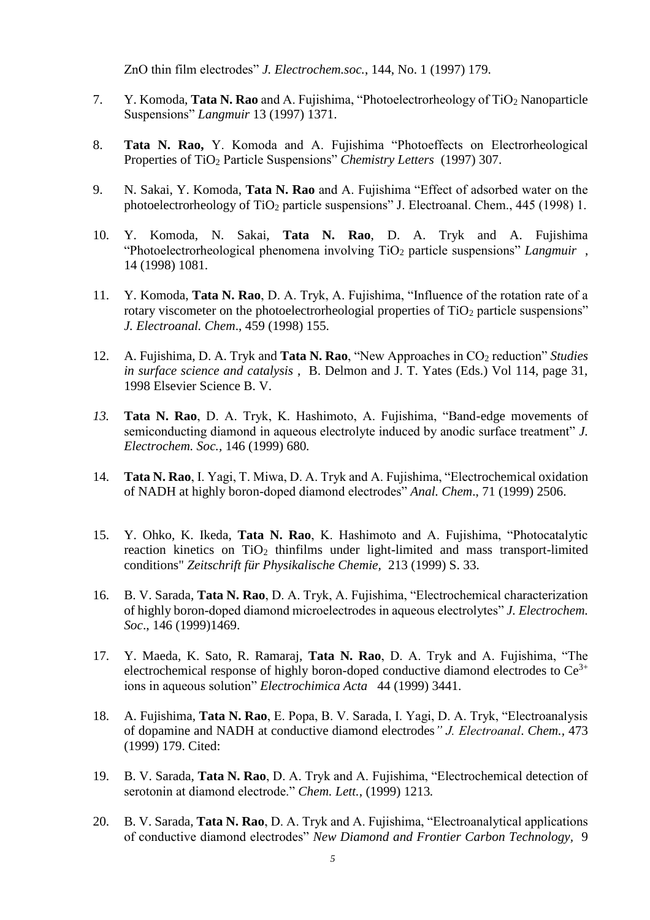ZnO thin film electrodes" *J. Electrochem.soc.*, 144, No. 1 (1997) 179.

- 7. Y. Komoda, **Tata N. Rao** and A. Fujishima, "Photoelectrorheology of TiO<sup>2</sup> Nanoparticle Suspensions" *Langmuir* 13 (1997) 1371.
- 8. **Tata N. Rao,** Y. Komoda and A. Fujishima "Photoeffects on Electrorheological Properties of TiO<sup>2</sup> Particle Suspensions" *Chemistry Letters* (1997) 307.
- 9. N. Sakai, Y. Komoda, **Tata N. Rao** and A. Fujishima "Effect of adsorbed water on the photoelectrorheology of TiO<sub>2</sub> particle suspensions" J. Electroanal. Chem.,  $445$  (1998) 1.
- 10. Y. Komoda, N. Sakai, **Tata N. Rao**, D. A. Tryk and A. Fujishima "Photoelectrorheological phenomena involving TiO<sup>2</sup> particle suspensions" *Langmuir* , 14 (1998) 1081.
- 11. Y. Komoda, **Tata N. Rao**, D. A. Tryk, A. Fujishima, "Influence of the rotation rate of a rotary viscometer on the photoelectrorheologial properties of  $TiO<sub>2</sub>$  particle suspensions" *J. Electroanal. Chem*., 459 (1998) 155.
- 12. A. Fujishima, D. A. Tryk and **Tata N. Rao**, "New Approaches in CO<sub>2</sub> reduction" *Studies in surface science and catalysis* , B. Delmon and J. T. Yates (Eds.) Vol 114, page 31, 1998 Elsevier Science B. V.
- *13.* **Tata N. Rao**, D. A. Tryk, K. Hashimoto, A. Fujishima, "Band-edge movements of semiconducting diamond in aqueous electrolyte induced by anodic surface treatment" *J. Electrochem. Soc.,* 146 (1999) 680*.*
- 14. **Tata N. Rao**, I. Yagi, T. Miwa, D. A. Tryk and A. Fujishima, "Electrochemical oxidation of NADH at highly boron-doped diamond electrodes" *Anal. Chem*., 71 (1999) 2506.
- 15. Y. Ohko, K. Ikeda, **Tata N. Rao**, K. Hashimoto and A. Fujishima, "Photocatalytic reaction kinetics on  $TiO<sub>2</sub>$  thinfilms under light-limited and mass transport-limited conditions" *Zeitschrift für Physikalische Chemie,* 213 (1999) S. 33.
- 16. B. V. Sarada, **Tata N. Rao**, D. A. Tryk, A. Fujishima, "Electrochemical characterization of highly boron-doped diamond microelectrodes in aqueous electrolytes" *J. Electrochem. Soc*., 146 (1999)1469.
- 17. Y. Maeda, K. Sato, R. Ramaraj, **Tata N. Rao**, D. A. Tryk and A. Fujishima, "The electrochemical response of highly boron-doped conductive diamond electrodes to  $Ce^{3+}$ ions in aqueous solution" *Electrochimica Acta* 44 (1999) 3441.
- 18. A. Fujishima, **Tata N. Rao**, E. Popa, B. V. Sarada, I. Yagi, D. A. Tryk, "Electroanalysis of dopamine and NADH at conductive diamond electrodes*" J. Electroanal*. *Chem.,* 473 (1999) 179. Cited:
- 19. B. V. Sarada, **Tata N. Rao**, D. A. Tryk and A. Fujishima, "Electrochemical detection of serotonin at diamond electrode." *Chem. Lett.*, (1999) 1213*.*
- 20. B. V. Sarada, **Tata N. Rao**, D. A. Tryk and A. Fujishima, "Electroanalytical applications of conductive diamond electrodes" *New Diamond and Frontier Carbon Technology,* 9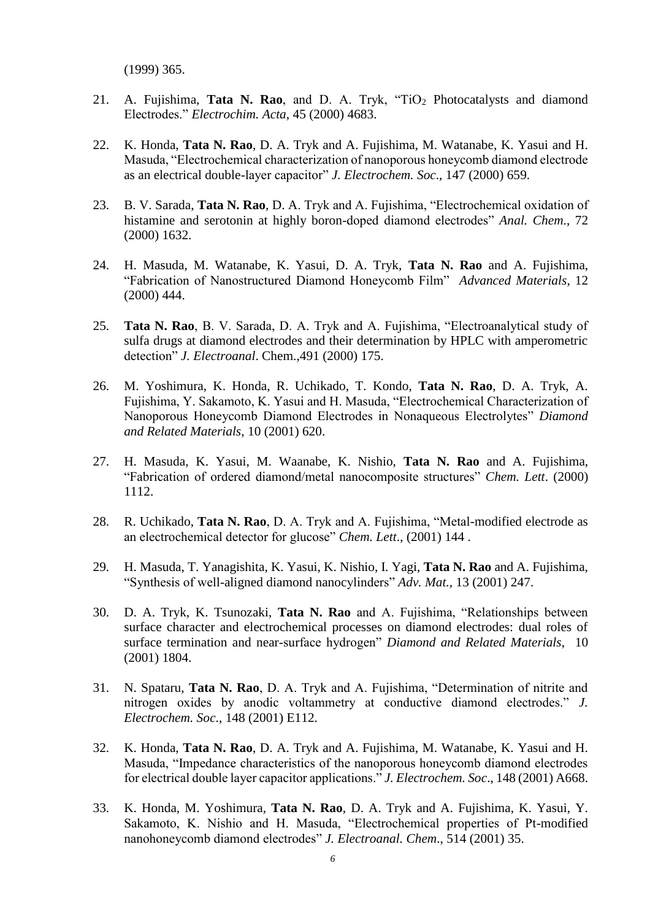(1999) 365.

- 21. A. Fujishima, **Tata N. Rao**, and D. A. Tryk, "TiO<sup>2</sup> Photocatalysts and diamond Electrodes." *Electrochim. Acta*, 45 (2000) 4683.
- 22. K. Honda, **Tata N. Rao**, D. A. Tryk and A. Fujishima, M. Watanabe, K. Yasui and H. Masuda, "Electrochemical characterization of nanoporous honeycomb diamond electrode as an electrical double-layer capacitor" *J. Electrochem. Soc*., 147 (2000) 659.
- 23. B. V. Sarada, **Tata N. Rao**, D. A. Tryk and A. Fujishima, "Electrochemical oxidation of histamine and serotonin at highly boron-doped diamond electrodes" *Anal. Chem*., 72 (2000) 1632.
- 24. H. Masuda, M. Watanabe, K. Yasui, D. A. Tryk, **Tata N. Rao** and A. Fujishima, "Fabrication of Nanostructured Diamond Honeycomb Film" *Advanced Materials*, 12 (2000) 444.
- 25. **Tata N. Rao**, B. V. Sarada, D. A. Tryk and A. Fujishima, "Electroanalytical study of sulfa drugs at diamond electrodes and their determination by HPLC with amperometric detection" *J. Electroanal*. Chem.,491 (2000) 175.
- 26. M. Yoshimura, K. Honda, R. Uchikado, T. Kondo, **Tata N. Rao**, D. A. Tryk, A. Fujishima, Y. Sakamoto, K. Yasui and H. Masuda, "Electrochemical Characterization of Nanoporous Honeycomb Diamond Electrodes in Nonaqueous Electrolytes" *Diamond and Related Materials*, 10 (2001) 620.
- 27. H. Masuda, K. Yasui, M. Waanabe, K. Nishio, **Tata N. Rao** and A. Fujishima, "Fabrication of ordered diamond/metal nanocomposite structures" *Chem. Lett*. (2000) 1112.
- 28. R. Uchikado, **Tata N. Rao**, D. A. Tryk and A. Fujishima, "Metal-modified electrode as an electrochemical detector for glucose" *Chem. Lett*., (2001) 144 .
- 29. H. Masuda, T. Yanagishita, K. Yasui, K. Nishio, I. Yagi, **Tata N. Rao** and A. Fujishima, "Synthesis of well-aligned diamond nanocylinders" *Adv. Mat.,* 13 (2001) 247.
- 30. D. A. Tryk, K. Tsunozaki, **Tata N. Rao** and A. Fujishima, "Relationships between surface character and electrochemical processes on diamond electrodes: dual roles of surface termination and near-surface hydrogen" *Diamond and Related Materials*, 10 (2001) 1804.
- 31. N. Spataru, **Tata N. Rao**, D. A. Tryk and A. Fujishima, "Determination of nitrite and nitrogen oxides by anodic voltammetry at conductive diamond electrodes." *J. Electrochem. Soc*., 148 (2001) E112.
- 32. K. Honda, **Tata N. Rao**, D. A. Tryk and A. Fujishima, M. Watanabe, K. Yasui and H. Masuda, "Impedance characteristics of the nanoporous honeycomb diamond electrodes for electrical double layer capacitor applications." *J. Electrochem. Soc*., 148 (2001) A668.
- 33. K. Honda, M. Yoshimura, **Tata N. Rao**, D. A. Tryk and A. Fujishima, K. Yasui, Y. Sakamoto, K. Nishio and H. Masuda, "Electrochemical properties of Pt-modified nanohoneycomb diamond electrodes" *J. Electroanal. Chem*., 514 (2001) 35.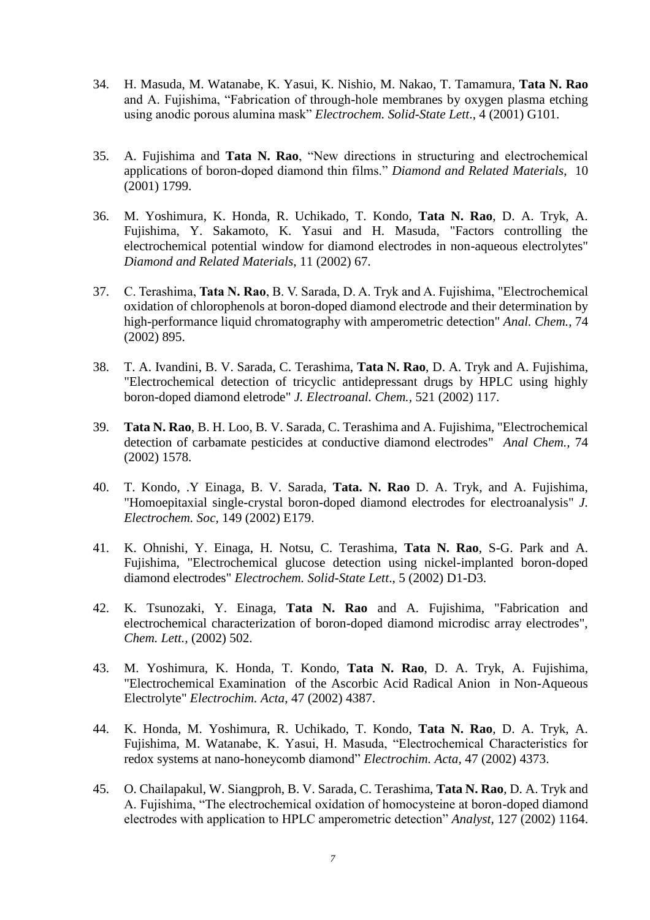- 34. H. Masuda, M. Watanabe, K. Yasui, K. Nishio, M. Nakao, T. Tamamura, **Tata N. Rao** and A. Fujishima, "Fabrication of through-hole membranes by oxygen plasma etching using anodic porous alumina mask" *Electrochem. Solid-State Lett*., 4 (2001) G101.
- 35. A. Fujishima and **Tata N. Rao**, "New directions in structuring and electrochemical applications of boron-doped diamond thin films." *Diamond and Related Materials*, 10 (2001) 1799.
- 36. M. Yoshimura, K. Honda, R. Uchikado, T. Kondo, **Tata N. Rao**, D. A. Tryk, A. Fujishima, Y. Sakamoto, K. Yasui and H. Masuda, "Factors controlling the electrochemical potential window for diamond electrodes in non-aqueous electrolytes" *Diamond and Related Materials*, 11 (2002) 67.
- 37. C. Terashima, **Tata N. Rao**, B. V. Sarada, D. A. Tryk and A. Fujishima, "Electrochemical oxidation of chlorophenols at boron-doped diamond electrode and their determination by high-performance liquid chromatography with amperometric detection" *Anal. Chem.,* 74 (2002) 895.
- 38. T. A. Ivandini, B. V. Sarada, C. Terashima, **Tata N. Rao**, D. A. Tryk and A. Fujishima, "Electrochemical detection of tricyclic antidepressant drugs by HPLC using highly boron-doped diamond eletrode" *J. Electroanal. Chem.,* 521 (2002) 117.
- 39. **Tata N. Rao**, B. H. Loo, B. V. Sarada, C. Terashima and A. Fujishima, "Electrochemical detection of carbamate pesticides at conductive diamond electrodes" *Anal Chem.,* 74 (2002) 1578.
- 40. T. Kondo, .Y Einaga, B. V. Sarada, **Tata. N. Rao** D. A. Tryk, and A. Fujishima, "Homoepitaxial single-crystal boron-doped diamond electrodes for electroanalysis" *J. Electrochem. Soc,* 149 (2002) E179.
- 41. K. Ohnishi, Y. Einaga, H. Notsu, C. Terashima, **Tata N. Rao**, S-G. Park and A. Fujishima, "Electrochemical glucose detection using nickel-implanted boron-doped diamond electrodes" *Electrochem. Solid-State Lett*., 5 (2002) D1-D3.
- 42. K. Tsunozaki, Y. Einaga, **Tata N. Rao** and A. Fujishima, "Fabrication and electrochemical characterization of boron-doped diamond microdisc array electrodes", *Chem. Lett.,* (2002) 502.
- 43. M. Yoshimura, K. Honda, T. Kondo, **Tata N. Rao**, D. A. Tryk, A. Fujishima, "Electrochemical Examination of the Ascorbic Acid Radical Anion in Non-Aqueous Electrolyte" *Electrochim. Acta*, 47 (2002) 4387.
- 44. K. Honda, M. Yoshimura, R. Uchikado, T. Kondo, **Tata N. Rao**, D. A. Tryk, A. Fujishima, M. Watanabe, K. Yasui, H. Masuda, "Electrochemical Characteristics for redox systems at nano-honeycomb diamond" *Electrochim. Acta*, 47 (2002) 4373.
- 45. O. Chailapakul, W. Siangproh, B. V. Sarada, C. Terashima, **Tata N. Rao**, D. A. Tryk and A. Fujishima, "The electrochemical oxidation of homocysteine at boron-doped diamond electrodes with application to HPLC amperometric detection" *Analyst,* 127 (2002) 1164.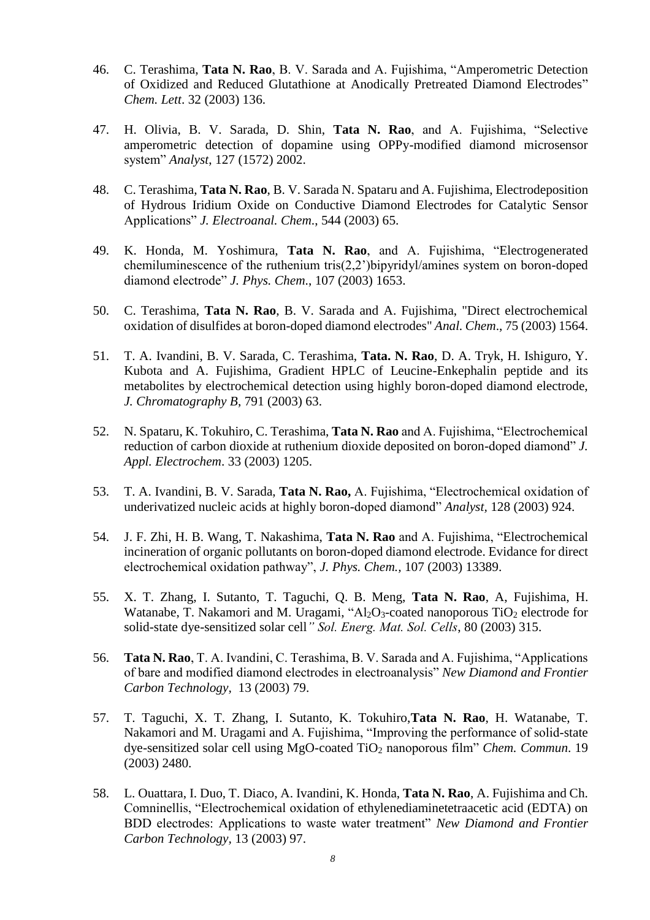- 46. C. Terashima, **Tata N. Rao**, B. V. Sarada and A. Fujishima, "Amperometric Detection of Oxidized and Reduced Glutathione at Anodically Pretreated Diamond Electrodes" *Chem. Lett*. 32 (2003) 136.
- 47. H. Olivia, B. V. Sarada, D. Shin, **Tata N. Rao**, and A. Fujishima, "Selective amperometric detection of dopamine using OPPy-modified diamond microsensor system" *Analyst*, 127 (1572) 2002.
- 48. C. Terashima, **Tata N. Rao**, B. V. Sarada N. Spataru and A. Fujishima, Electrodeposition of Hydrous Iridium Oxide on Conductive Diamond Electrodes for Catalytic Sensor Applications" *J. Electroanal. Chem*., 544 (2003) 65.
- 49. K. Honda, M. Yoshimura, **Tata N. Rao**, and A. Fujishima, "Electrogenerated chemiluminescence of the ruthenium tris(2,2')bipyridyl/amines system on boron-doped diamond electrode" *J. Phys. Chem*., 107 (2003) 1653.
- 50. C. Terashima, **Tata N. Rao**, B. V. Sarada and A. Fujishima, "Direct electrochemical oxidation of disulfides at boron-doped diamond electrodes" *Anal. Chem*., 75 (2003) 1564.
- 51. T. A. Ivandini, B. V. Sarada, C. Terashima, **Tata. N. Rao**, D. A. Tryk, H. Ishiguro, Y. Kubota and A. Fujishima, Gradient HPLC of Leucine-Enkephalin peptide and its metabolites by electrochemical detection using highly boron-doped diamond electrode, *J. Chromatography B*, 791 (2003) 63.
- 52. N. Spataru, K. Tokuhiro, C. Terashima, **Tata N. Rao** and A. Fujishima, "Electrochemical reduction of carbon dioxide at ruthenium dioxide deposited on boron-doped diamond" *J. Appl. Electrochem*. 33 (2003) 1205.
- 53. T. A. Ivandini, B. V. Sarada, **Tata N. Rao,** A. Fujishima, "Electrochemical oxidation of underivatized nucleic acids at highly boron-doped diamond" *Analyst,* 128 (2003) 924.
- 54. J. F. Zhi, H. B. Wang, T. Nakashima, **Tata N. Rao** and A. Fujishima, "Electrochemical incineration of organic pollutants on boron-doped diamond electrode. Evidance for direct electrochemical oxidation pathway", *J. Phys. Chem.,* 107 (2003) 13389.
- 55. X. T. Zhang, I. Sutanto, T. Taguchi, Q. B. Meng, **Tata N. Rao**, A, Fujishima, H. Watanabe, T. Nakamori and M. Uragami, "Al<sub>2</sub>O<sub>3</sub>-coated nanoporous TiO<sub>2</sub> electrode for solid-state dye-sensitized solar cell*" Sol. Energ. Mat. Sol. Cells*, 80 (2003) 315.
- 56. **Tata N. Rao**, T. A. Ivandini, C. Terashima, B. V. Sarada and A. Fujishima, "Applications of bare and modified diamond electrodes in electroanalysis" *New Diamond and Frontier Carbon Technology,* 13 (2003) 79.
- 57. T. Taguchi, X. T. Zhang, I. Sutanto, K. Tokuhiro,**Tata N. Rao**, H. Watanabe, T. Nakamori and M. Uragami and A. Fujishima, "Improving the performance of solid-state dye-sensitized solar cell using MgO-coated TiO<sup>2</sup> nanoporous film" *Chem. Commun*. 19 (2003) 2480.
- 58. L. Ouattara, I. Duo, T. Diaco, A. Ivandini, K. Honda, **Tata N. Rao**, A. Fujishima and Ch. Comninellis, "Electrochemical oxidation of ethylenediaminetetraacetic acid (EDTA) on BDD electrodes: Applications to waste water treatment" *New Diamond and Frontier Carbon Technology,* 13 (2003) 97.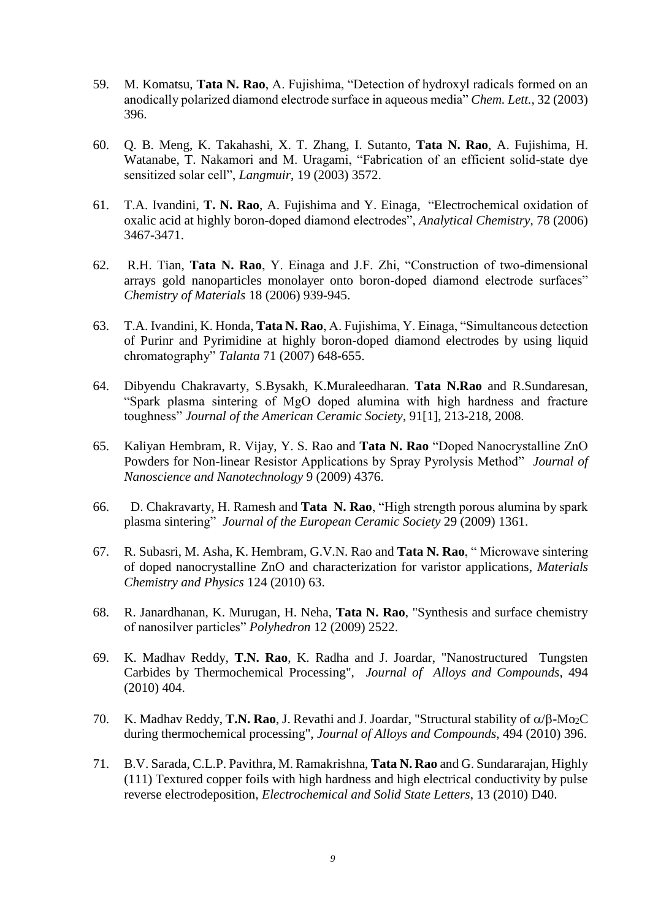- 59. M. Komatsu, **Tata N. Rao**, A. Fujishima, "Detection of hydroxyl radicals formed on an anodically polarized diamond electrode surface in aqueous media" *Chem. Lett.,* 32 (2003) 396.
- 60. Q. B. Meng, K. Takahashi, X. T. Zhang, I. Sutanto, **Tata N. Rao**, A. Fujishima, H. Watanabe, T. Nakamori and M. Uragami, "Fabrication of an efficient solid-state dye sensitized solar cell", *Langmuir*, 19 (2003) 3572.
- 61. T.A. Ivandini, **T. N. Rao**, A. Fujishima and Y. Einaga, "Electrochemical oxidation of oxalic acid at highly boron-doped diamond electrodes", *Analytical Chemistry,* 78 (2006) 3467-3471.
- 62. R.H. Tian, **Tata N. Rao**, Y. Einaga and J.F. Zhi, "Construction of two-dimensional arrays gold nanoparticles monolayer onto boron-doped diamond electrode surfaces" *Chemistry of Materials* 18 (2006) 939-945.
- 63. T.A. Ivandini, K. Honda, **Tata N. Rao**, A. Fujishima, Y. Einaga, "Simultaneous detection of Purinr and Pyrimidine at highly boron-doped diamond electrodes by using liquid chromatography" *Talanta* 71 (2007) 648-655.
- 64. Dibyendu Chakravarty, S.Bysakh, K.Muraleedharan. **Tata N.Rao** and R.Sundaresan, "Spark plasma sintering of MgO doped alumina with high hardness and fracture toughness" *Journal of the American Ceramic Society*, 91[1], 213-218, 2008.
- 65. Kaliyan Hembram, R. Vijay, Y. S. Rao and **Tata N. Rao** "Doped Nanocrystalline ZnO Powders for Non-linear Resistor Applications by Spray Pyrolysis Method" *Journal of Nanoscience and Nanotechnology* 9 (2009) 4376.
- 66. D. Chakravarty, H. Ramesh and **Tata N. Rao**, "High strength porous alumina by spark plasma sintering" *Journal of the European Ceramic Society* 29 (2009) 1361.
- 67. R. Subasri, M. Asha, K. Hembram, G.V.N. Rao and **Tata N. Rao**, " Microwave sintering of doped nanocrystalline ZnO and characterization for varistor applications, *Materials Chemistry and Physics* 124 (2010) 63.
- 68. R. Janardhanan, K. Murugan, H. Neha, **Tata N. Rao**, "Synthesis and surface chemistry of nanosilver particles" *Polyhedron* 12 (2009) 2522.
- 69. K. Madhav Reddy, **T.N. Rao**, K. Radha and J. Joardar, "Nanostructured Tungsten Carbides by Thermochemical Processing", *Journal of Alloys and Compounds*, 494 (2010) 404.
- 70. K. Madhav Reddy, **T.N. Rao**, J. Revathi and J. Joardar, "Structural stability of  $\alpha/\beta$ -Mo<sub>2</sub>C during thermochemical processing", *Journal of Alloys and Compounds*, 494 (2010) 396.
- 71. B.V. Sarada, C.L.P. Pavithra, M. Ramakrishna, **Tata N. Rao** and G. Sundararajan, Highly (111) Textured copper foils with high hardness and high electrical conductivity by pulse reverse electrodeposition, *Electrochemical and Solid State Letters*, 13 (2010) D40.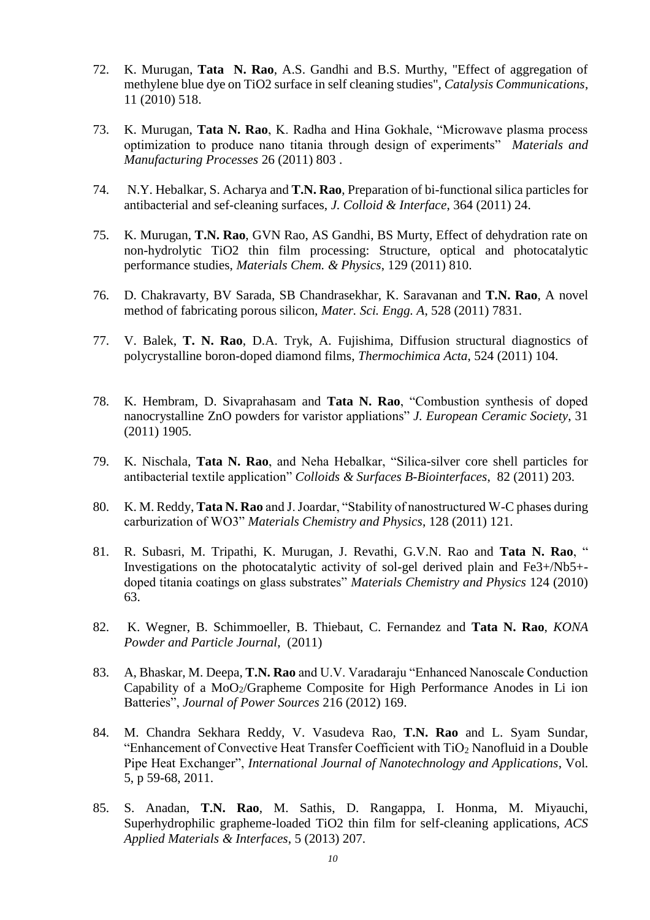- 72. K. Murugan, **Tata N. Rao**, A.S. Gandhi and B.S. Murthy, "Effect of aggregation of methylene blue dye on TiO2 surface in self cleaning studies", *Catalysis Communications*, 11 (2010) 518.
- 73. K. Murugan, **Tata N. Rao**, K. Radha and Hina Gokhale, "Microwave plasma process optimization to produce nano titania through design of experiments" *Materials and Manufacturing Processes* 26 (2011) 803 .
- 74. N.Y. Hebalkar, S. Acharya and **T.N. Rao**, Preparation of bi-functional silica particles for antibacterial and sef-cleaning surfaces, *J. Colloid & Interface*, 364 (2011) 24.
- 75. K. Murugan, **T.N. Rao**, GVN Rao, AS Gandhi, BS Murty, Effect of dehydration rate on non-hydrolytic TiO2 thin film processing: Structure, optical and photocatalytic performance studies, *Materials Chem. & Physics*, 129 (2011) 810.
- 76. D. Chakravarty, BV Sarada, SB Chandrasekhar, K. Saravanan and **T.N. Rao**, A novel method of fabricating porous silicon, *Mater. Sci. Engg. A*, 528 (2011) 7831.
- 77. V. Balek, **T. N. Rao**, D.A. Tryk, A. Fujishima, Diffusion structural diagnostics of polycrystalline boron-doped diamond films, *Thermochimica Acta*, 524 (2011) 104.
- 78. K. Hembram, D. Sivaprahasam and **Tata N. Rao**, "Combustion synthesis of doped nanocrystalline ZnO powders for varistor appliations" *J. European Ceramic Society*, 31 (2011) 1905.
- 79. K. Nischala, **Tata N. Rao**, and Neha Hebalkar, "Silica-silver core shell particles for antibacterial textile application" *Colloids & Surfaces B-Biointerfaces*, 82 (2011) 203.
- 80. K. M. Reddy, **Tata N. Rao** and J. Joardar, "Stability of nanostructured W-C phases during carburization of WO3" *Materials Chemistry and Physics*, 128 (2011) 121.
- 81. R. Subasri, M. Tripathi, K. Murugan, J. Revathi, G.V.N. Rao and **Tata N. Rao**, " Investigations on the photocatalytic activity of sol-gel derived plain and Fe3+/Nb5+ doped titania coatings on glass substrates" *Materials Chemistry and Physics* 124 (2010) 63.
- 82. K. Wegner, B. Schimmoeller, B. Thiebaut, C. Fernandez and **Tata N. Rao**, *KONA Powder and Particle Journal*, (2011)
- 83. A, Bhaskar, M. Deepa, **T.N. Rao** and U.V. Varadaraju "Enhanced Nanoscale Conduction Capability of a MoO<sub>2</sub>/Grapheme Composite for High Performance Anodes in Li ion Batteries", *Journal of Power Sources* 216 (2012) 169.
- 84. M. Chandra Sekhara Reddy, V. Vasudeva Rao, **T.N. Rao** and L. Syam Sundar, "Enhancement of Convective Heat Transfer Coefficient with  $TiO<sub>2</sub>$  Nanofluid in a Double Pipe Heat Exchanger", *International Journal of Nanotechnology and Applications*, Vol. 5, p 59-68, 2011.
- 85. S. Anadan, **T.N. Rao**, M. Sathis, D. Rangappa, I. Honma, M. Miyauchi, Superhydrophilic grapheme-loaded TiO2 thin film for self-cleaning applications, *ACS Applied Materials & Interfaces*, 5 (2013) 207.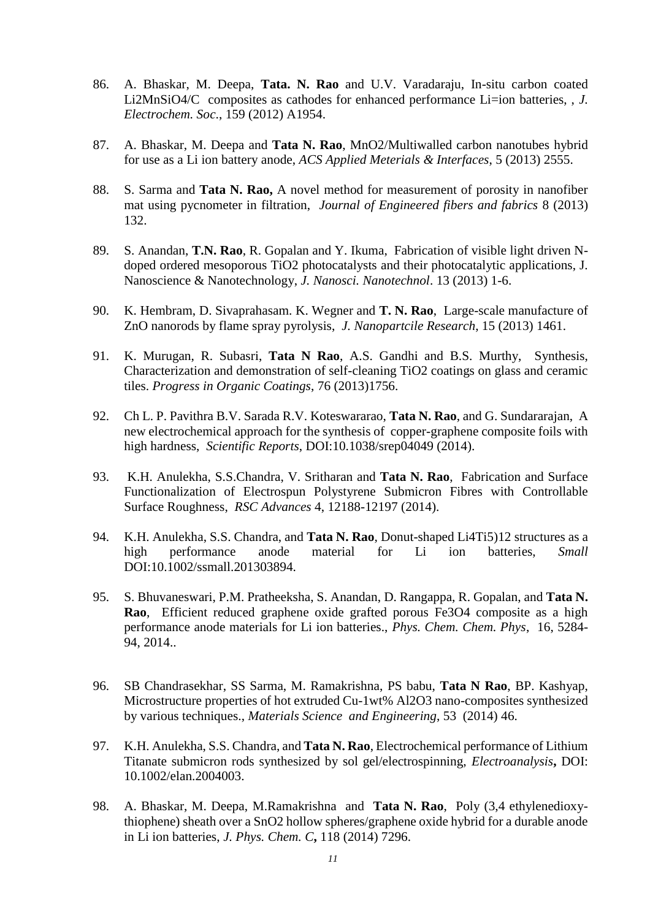- 86. A. Bhaskar, M. Deepa, **Tata. N. Rao** and U.V. Varadaraju, In-situ carbon coated Li2MnSiO4/C composites as cathodes for enhanced performance Li=ion batteries, , *J. Electrochem. Soc*., 159 (2012) A1954.
- 87. A. Bhaskar, M. Deepa and **Tata N. Rao**, MnO2/Multiwalled carbon nanotubes hybrid for use as a Li ion battery anode, *ACS Applied Meterials & Interfaces*, 5 (2013) 2555.
- 88. S. Sarma and **Tata N. Rao,** A novel method for measurement of porosity in nanofiber mat using pycnometer in filtration, *Journal of Engineered fibers and fabrics* 8 (2013) 132.
- 89. S. Anandan, **T.N. Rao**, R. Gopalan and Y. Ikuma, Fabrication of visible light driven Ndoped ordered mesoporous TiO2 photocatalysts and their photocatalytic applications, J. Nanoscience & Nanotechnology, *J. Nanosci. Nanotechnol*. 13 (2013) 1-6.
- 90. K. Hembram, D. Sivaprahasam. K. Wegner and **T. N. Rao**, Large-scale manufacture of ZnO nanorods by flame spray pyrolysis, *J. Nanopartcile Research*, 15 (2013) 1461.
- 91. K. Murugan, R. Subasri, **Tata N Rao**, A.S. Gandhi and B.S. Murthy, Synthesis, Characterization and demonstration of self-cleaning TiO2 coatings on glass and ceramic tiles. *Progress in Organic Coatings*, 76 (2013)1756.
- 92. Ch L. P. Pavithra B.V. Sarada R.V. Koteswararao, **Tata N. Rao**, and G. Sundararajan, A new electrochemical approach for the synthesis of copper-graphene composite foils with high hardness, *Scientific Reports*, DOI:10.1038/srep04049 (2014).
- 93. K.H. Anulekha, S.S.Chandra, V. Sritharan and **Tata N. Rao**, Fabrication and Surface Functionalization of Electrospun Polystyrene Submicron Fibres with Controllable Surface Roughness, *RSC Advances* 4, 12188-12197 (2014).
- 94. K.H. Anulekha, S.S. Chandra, and **Tata N. Rao**, Donut-shaped Li4Ti5)12 structures as a high performance anode material for Li ion batteries, *Small* DOI:10.1002/ssmall.201303894.
- 95. S. Bhuvaneswari, P.M. Pratheeksha, S. Anandan, D. Rangappa, R. Gopalan, and **Tata N. Rao**, Efficient reduced graphene oxide grafted porous Fe3O4 composite as a high performance anode materials for Li ion batteries., *Phys. Chem. Chem. Phys*, 16, 5284- 94, 2014..
- 96. SB Chandrasekhar, SS Sarma, M. Ramakrishna, PS babu, **Tata N Rao**, BP. Kashyap, Microstructure properties of hot extruded Cu-1wt% Al2O3 nano-composites synthesized by various techniques., *Materials Science and Engineering*, 53 (2014) 46.
- 97. K.H. Anulekha, S.S. Chandra, and **Tata N. Rao**, Electrochemical performance of Lithium Titanate submicron rods synthesized by sol gel/electrospinning, *Electroanalysis***,** DOI: 10.1002/elan.2004003.
- 98. A. Bhaskar, M. Deepa, M.Ramakrishna and **Tata N. Rao**, Poly (3,4 ethylenedioxythiophene) sheath over a SnO2 hollow spheres/graphene oxide hybrid for a durable anode in Li ion batteries, *J. Phys. Chem. C***,** 118 (2014) 7296.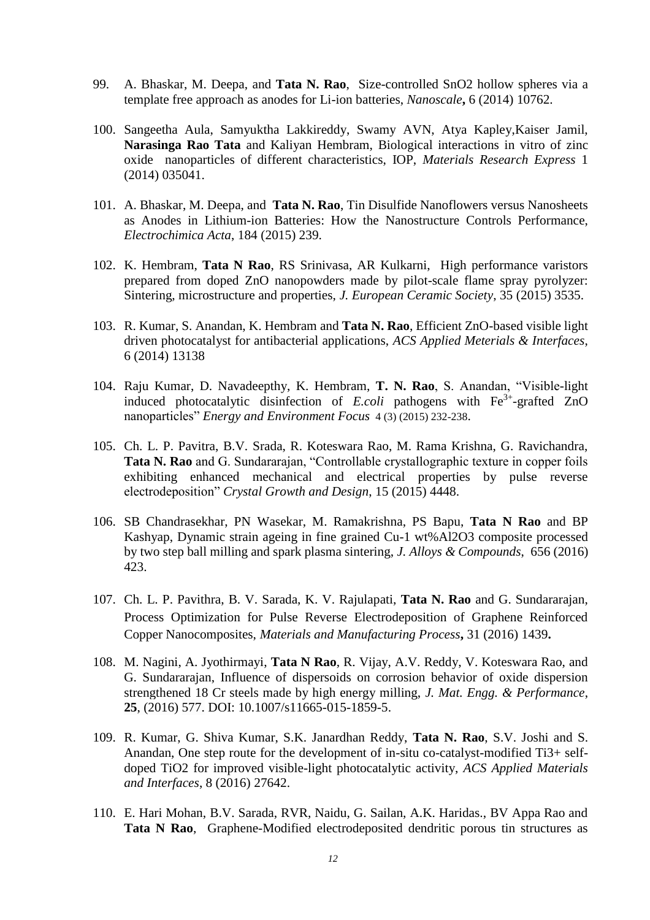- 99. A. Bhaskar, M. Deepa, and **Tata N. Rao**, Size-controlled SnO2 hollow spheres via a template free approach as anodes for Li-ion batteries, *Nanoscale***,** 6 (2014) 10762.
- 100. Sangeetha Aula, Samyuktha Lakkireddy, Swamy AVN, Atya Kapley,Kaiser Jamil, **Narasinga Rao Tata** and Kaliyan Hembram, Biological interactions in vitro of zinc oxide nanoparticles of different characteristics, IOP, *Materials Research Express* 1 (2014) 035041.
- 101. A. Bhaskar, M. Deepa, and **Tata N. Rao**, Tin Disulfide Nanoflowers versus Nanosheets as Anodes in Lithium-ion Batteries: How the Nanostructure Controls Performance, *Electrochimica Acta*, 184 (2015) 239.
- 102. K. Hembram, **Tata N Rao**, RS Srinivasa, AR Kulkarni, High performance varistors prepared from doped ZnO nanopowders made by pilot-scale flame spray pyrolyzer: Sintering, microstructure and properties, *J. European Ceramic Society*, 35 (2015) 3535.
- 103. R. Kumar, S. Anandan, K. Hembram and **Tata N. Rao**, Efficient ZnO-based visible light driven photocatalyst for antibacterial applications, *ACS Applied Meterials & Interfaces*, 6 (2014) 13138
- 104. Raju Kumar, D. Navadeepthy, K. Hembram, **T. N. Rao**, S. Anandan, "Visible-light induced photocatalytic disinfection of  $E. coli$  pathogens with  $Fe<sup>3+</sup>$ -grafted ZnO nanoparticles" *Energy and Environment Focus* 4 (3) (2015) 232-238.
- 105. Ch. L. P. Pavitra, B.V. Srada, R. Koteswara Rao, M. Rama Krishna, G. Ravichandra, **Tata N. Rao** and G. Sundararajan, "Controllable crystallographic texture in copper foils exhibiting enhanced mechanical and electrical properties by pulse reverse electrodeposition" *Crystal Growth and Design*, 15 (2015) 4448.
- 106. SB Chandrasekhar, PN Wasekar, M. Ramakrishna, PS Bapu, **Tata N Rao** and BP Kashyap, Dynamic strain ageing in fine grained Cu-1 wt%Al2O3 composite processed by two step ball milling and spark plasma sintering, *J. Alloys & Compounds*, 656 (2016) 423.
- 107. Ch. L. P. Pavithra, B. V. Sarada, K. V. Rajulapati, **Tata N. Rao** and G. Sundararajan, Process Optimization for Pulse Reverse Electrodeposition of Graphene Reinforced Copper Nanocomposites, *Materials and Manufacturing Process***,** 31 (2016) 1439**.**
- 108. M. Nagini, A. Jyothirmayi, **Tata N Rao**, R. Vijay, A.V. Reddy, V. Koteswara Rao, and G. Sundararajan, Influence of dispersoids on corrosion behavior of oxide dispersion strengthened 18 Cr steels made by high energy milling, *J. Mat. Engg. & Performance*, **25**, (2016) 577. DOI: 10.1007/s11665-015-1859-5.
- 109. R. Kumar, G. Shiva Kumar, S.K. Janardhan Reddy, **Tata N. Rao**, S.V. Joshi and S. Anandan, One step route for the development of in-situ co-catalyst-modified Ti3+ selfdoped TiO2 for improved visible-light photocatalytic activity, *ACS Applied Materials and Interfaces*, 8 (2016) 27642.
- 110. E. Hari Mohan, B.V. Sarada, RVR, Naidu, G. Sailan, A.K. Haridas., BV Appa Rao and **Tata N Rao**, Graphene-Modified electrodeposited dendritic porous tin structures as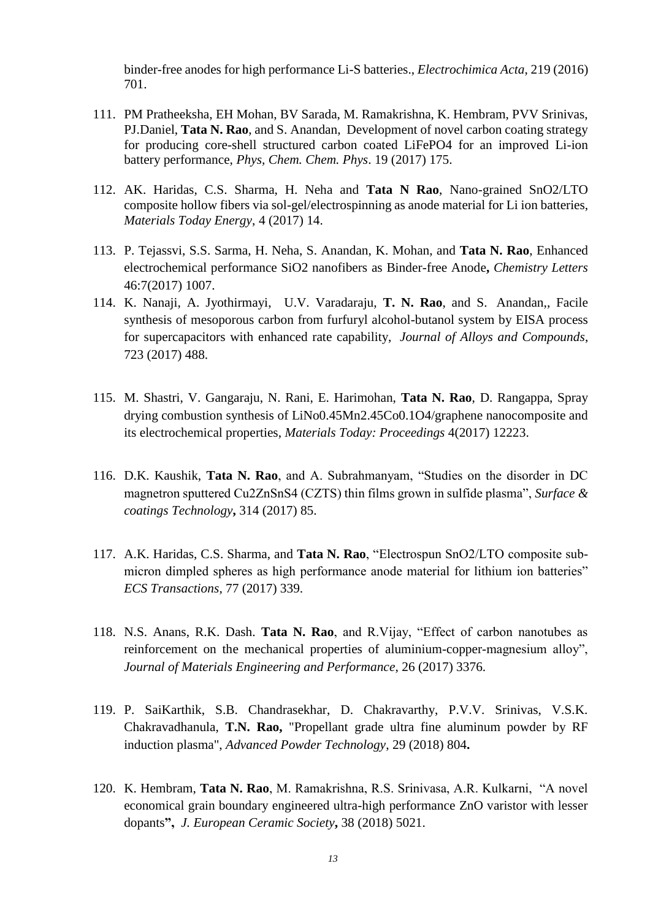binder-free anodes for high performance Li-S batteries., *Electrochimica Acta*, 219 (2016) 701.

- 111. PM Pratheeksha, EH Mohan, BV Sarada, M. Ramakrishna, K. Hembram, PVV Srinivas, PJ.Daniel, **Tata N. Rao**, and S. Anandan, Development of novel carbon coating strategy for producing core-shell structured carbon coated LiFePO4 for an improved Li-ion battery performance, *Phys, Chem. Chem. Phys*. 19 (2017) 175.
- 112. AK. Haridas, C.S. Sharma, H. Neha and **Tata N Rao**, Nano-grained SnO2/LTO composite hollow fibers via sol-gel/electrospinning as anode material for Li ion batteries, *Materials Today Energy*, 4 (2017) 14.
- 113. P. Tejassvi, S.S. Sarma, H. Neha, S. Anandan, K. Mohan, and **Tata N. Rao**, Enhanced electrochemical performance SiO2 nanofibers as Binder-free Anode**,** *Chemistry Letters* 46:7(2017) 1007.
- 114. K. Nanaji, A. Jyothirmayi, U.V. Varadaraju, **T. N. Rao**, and S. Anandan,, Facile synthesis of mesoporous carbon from furfuryl alcohol-butanol system by EISA process for supercapacitors with enhanced rate capability, *Journal of Alloys and Compounds*, 723 (2017) 488.
- 115. M. Shastri, V. Gangaraju, N. Rani, E. Harimohan, **Tata N. Rao**, D. Rangappa, Spray drying combustion synthesis of LiNo0.45Mn2.45Co0.1O4/graphene nanocomposite and its electrochemical properties, *Materials Today: Proceedings* 4(2017) 12223.
- 116. D.K. Kaushik, **Tata N. Rao**, and A. Subrahmanyam, "Studies on the disorder in DC magnetron sputtered Cu2ZnSnS4 (CZTS) thin films grown in sulfide plasma", *Surface & coatings Technology***,** 314 (2017) 85.
- 117. A.K. Haridas, C.S. Sharma, and **Tata N. Rao**, "Electrospun SnO2/LTO composite submicron dimpled spheres as high performance anode material for lithium ion batteries" *ECS Transactions*, 77 (2017) 339.
- 118. N.S. Anans, R.K. Dash. **Tata N. Rao**, and R.Vijay, "Effect of carbon nanotubes as reinforcement on the mechanical properties of aluminium-copper-magnesium alloy", *Journal of Materials Engineering and Performance*, 26 (2017) 3376.
- 119. P. SaiKarthik, S.B. Chandrasekhar, D. Chakravarthy, P.V.V. Srinivas, V.S.K. Chakravadhanula, **T.N. Rao,** "Propellant grade ultra fine aluminum powder by RF induction plasma", *Advanced Powder Technology*, 29 (2018) 804**.**
- 120. K. Hembram, **Tata N. Rao**, M. Ramakrishna, R.S. Srinivasa, A.R. Kulkarni, "A novel economical grain boundary engineered ultra-high performance ZnO varistor with lesser dopants**",** *J. European Ceramic Society***,** 38 (2018) 5021.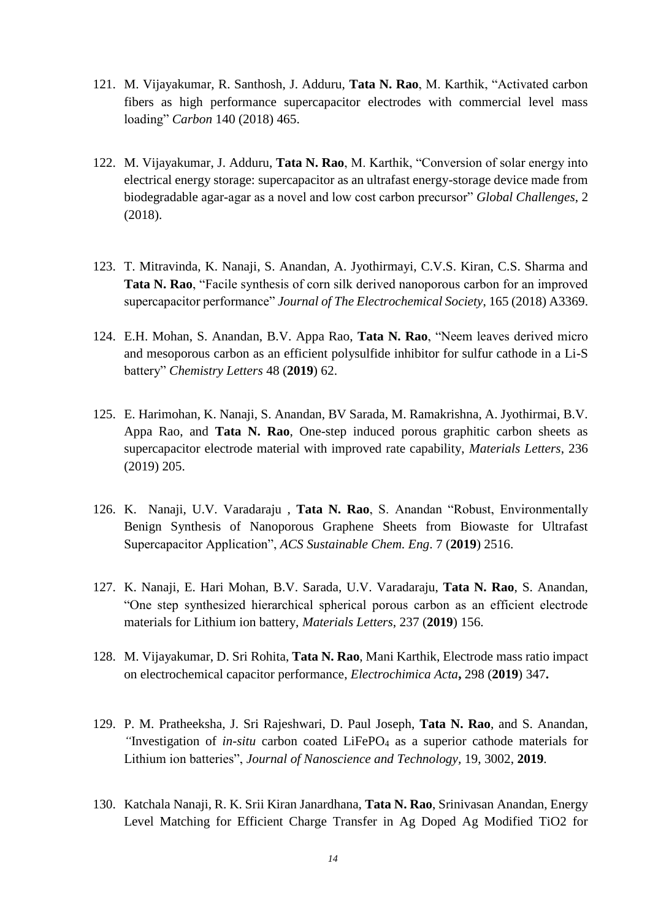- 121. M. Vijayakumar, R. Santhosh, J. Adduru, **Tata N. Rao**, M. Karthik, "Activated carbon fibers as high performance supercapacitor electrodes with commercial level mass loading" *Carbon* 140 (2018) 465.
- 122. M. Vijayakumar, J. Adduru, **Tata N. Rao**, M. Karthik, "Conversion of solar energy into electrical energy storage: supercapacitor as an ultrafast energy-storage device made from biodegradable agar-agar as a novel and low cost carbon precursor" *Global Challenges*, 2 (2018).
- 123. T. Mitravinda, K. Nanaji, S. Anandan, A. Jyothirmayi, C.V.S. Kiran, C.S. Sharma and **Tata N. Rao**, "Facile synthesis of corn silk derived nanoporous carbon for an improved supercapacitor performance" *Journal of The Electrochemical Society*, 165 (2018) A3369.
- 124. E.H. Mohan, S. Anandan, B.V. Appa Rao, **Tata N. Rao**, "Neem leaves derived micro and mesoporous carbon as an efficient polysulfide inhibitor for sulfur cathode in a Li-S battery" *Chemistry Letters* 48 (**2019**) 62.
- 125. E. Harimohan, K. Nanaji, S. Anandan, BV Sarada, M. Ramakrishna, A. Jyothirmai, B.V. Appa Rao, and **Tata N. Rao**, One-step induced porous graphitic carbon sheets as supercapacitor electrode material with improved rate capability, *Materials Letters*, 236 (2019) 205.
- 126. K. Nanaji, U.V. Varadaraju , **Tata N. Rao**, S. Anandan "Robust, Environmentally Benign Synthesis of Nanoporous Graphene Sheets from Biowaste for Ultrafast Supercapacitor Application", *ACS Sustainable Chem. Eng*. 7 (**2019**) 2516.
- 127. K. Nanaji, E. Hari Mohan, B.V. Sarada, U.V. Varadaraju, **Tata N. Rao**, S. Anandan, "One step synthesized hierarchical spherical porous carbon as an efficient electrode materials for Lithium ion battery, *Materials Letters*, 237 (**2019**) 156.
- 128. M. Vijayakumar, D. Sri Rohita, **Tata N. Rao**, Mani Karthik, Electrode mass ratio impact on electrochemical capacitor performance, *Electrochimica Acta***,** 298 (**2019**) 347**.**
- 129. P. M. Pratheeksha, J. Sri Rajeshwari, D. Paul Joseph, **Tata N. Rao**, and S. Anandan, *"*Investigation of *in-situ* carbon coated LiFePO<sup>4</sup> as a superior cathode materials for Lithium ion batteries", *Journal of Nanoscience and Technology,* 19, 3002, **2019**.
- 130. Katchala Nanaji, R. K. Srii Kiran Janardhana, **Tata N. Rao**, Srinivasan Anandan, Energy Level Matching for Efficient Charge Transfer in Ag Doped Ag Modified TiO2 for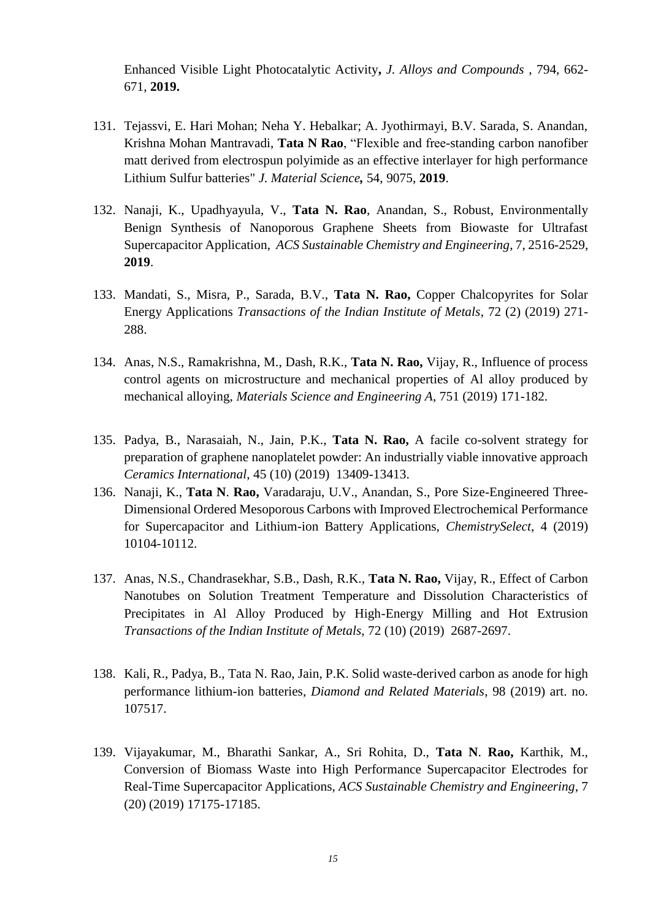Enhanced Visible Light Photocatalytic Activity**,** *J. Alloys and Compounds* , 794, 662- 671, **2019.**

- 131. Tejassvi, E. Hari Mohan; Neha Y. Hebalkar; A. Jyothirmayi, B.V. Sarada, S. Anandan, Krishna Mohan Mantravadi, **Tata N Rao**, "Flexible and free-standing carbon nanofiber matt derived from electrospun polyimide as an effective interlayer for high performance Lithium Sulfur batteries" *J. Material Science,* 54, 9075, **2019**.
- 132. Nanaji, K., Upadhyayula, V., **Tata N. Rao**, Anandan, S., Robust, Environmentally Benign Synthesis of Nanoporous Graphene Sheets from Biowaste for Ultrafast Supercapacitor Application, *ACS Sustainable Chemistry and Engineering*, 7, 2516-2529, **2019**.
- 133. Mandati, S., Misra, P., Sarada, B.V., **Tata N. Rao,** Copper Chalcopyrites for Solar Energy Applications *Transactions of the Indian Institute of Metals*, 72 (2) (2019) 271- 288.
- 134. Anas, N.S., Ramakrishna, M., Dash, R.K., **Tata N. Rao,** Vijay, R., Influence of process control agents on microstructure and mechanical properties of Al alloy produced by mechanical alloying, *Materials Science and Engineering A*, 751 (2019) 171-182.
- 135. Padya, B., Narasaiah, N., Jain, P.K., **Tata N. Rao,** A facile co-solvent strategy for preparation of graphene nanoplatelet powder: An industrially viable innovative approach *Ceramics International*, 45 (10) (2019) 13409-13413.
- 136. Nanaji, K., **Tata N**. **Rao,** Varadaraju, U.V., Anandan, S., Pore Size-Engineered Three-Dimensional Ordered Mesoporous Carbons with Improved Electrochemical Performance for Supercapacitor and Lithium-ion Battery Applications, *ChemistrySelect*, 4 (2019) 10104-10112.
- 137. Anas, N.S., Chandrasekhar, S.B., Dash, R.K., **Tata N. Rao,** Vijay, R., Effect of Carbon Nanotubes on Solution Treatment Temperature and Dissolution Characteristics of Precipitates in Al Alloy Produced by High-Energy Milling and Hot Extrusion *Transactions of the Indian Institute of Metals*, 72 (10) (2019) 2687-2697.
- 138. Kali, R., Padya, B., Tata N. Rao, Jain, P.K. Solid waste-derived carbon as anode for high performance lithium-ion batteries, *Diamond and Related Materials*, 98 (2019) art. no. 107517.
- 139. Vijayakumar, M., Bharathi Sankar, A., Sri Rohita, D., **Tata N**. **Rao,** Karthik, M., Conversion of Biomass Waste into High Performance Supercapacitor Electrodes for Real-Time Supercapacitor Applications, *ACS Sustainable Chemistry and Engineering*, 7 (20) (2019) 17175-17185.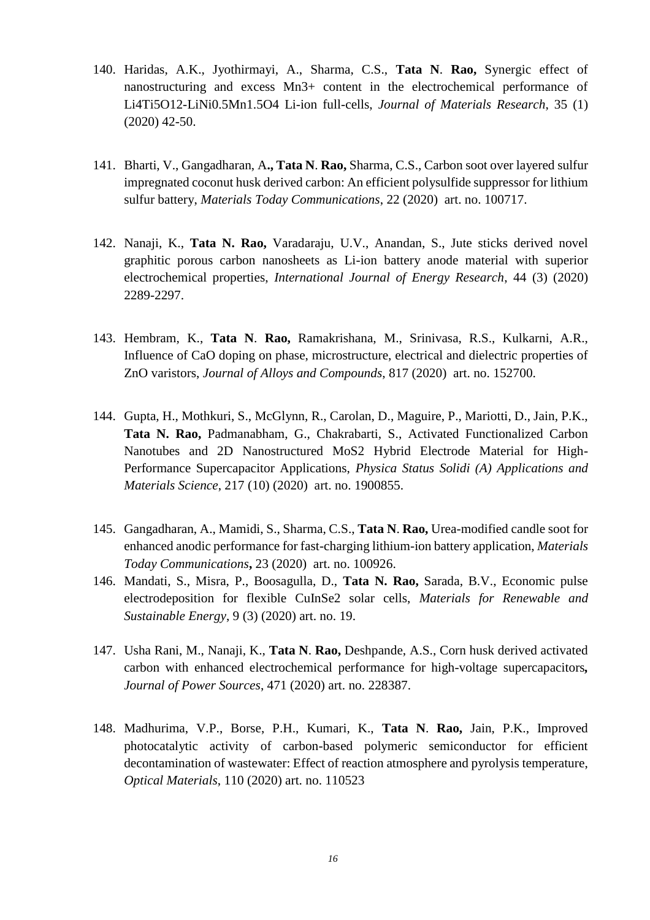- 140. Haridas, A.K., Jyothirmayi, A., Sharma, C.S., **Tata N**. **Rao,** Synergic effect of nanostructuring and excess Mn3+ content in the electrochemical performance of Li4Ti5O12-LiNi0.5Mn1.5O4 Li-ion full-cells, *Journal of Materials Research*, 35 (1) (2020) 42-50.
- 141. Bharti, V., Gangadharan, A**., Tata N**. **Rao,** Sharma, C.S., Carbon soot over layered sulfur impregnated coconut husk derived carbon: An efficient polysulfide suppressor for lithium sulfur battery, *Materials Today Communications*, 22 (2020) art. no. 100717.
- 142. Nanaji, K., **Tata N. Rao,** Varadaraju, U.V., Anandan, S., Jute sticks derived novel graphitic porous carbon nanosheets as Li-ion battery anode material with superior electrochemical properties, *International Journal of Energy Research*, 44 (3) (2020) 2289-2297.
- 143. Hembram, K., **Tata N**. **Rao,** Ramakrishana, M., Srinivasa, R.S., Kulkarni, A.R., Influence of CaO doping on phase, microstructure, electrical and dielectric properties of ZnO varistors, *Journal of Alloys and Compounds*, 817 (2020) art. no. 152700.
- 144. Gupta, H., Mothkuri, S., McGlynn, R., Carolan, D., Maguire, P., Mariotti, D., Jain, P.K., **Tata N. Rao,** Padmanabham, G., Chakrabarti, S., Activated Functionalized Carbon Nanotubes and 2D Nanostructured MoS2 Hybrid Electrode Material for High-Performance Supercapacitor Applications, *Physica Status Solidi (A) Applications and Materials Science*, 217 (10) (2020) art. no. 1900855.
- 145. Gangadharan, A., Mamidi, S., Sharma, C.S., **Tata N**. **Rao,** Urea-modified candle soot for enhanced anodic performance for fast-charging lithium-ion battery application, *Materials Today Communications***,** 23 (2020) art. no. 100926.
- 146. Mandati, S., Misra, P., Boosagulla, D., **Tata N. Rao,** Sarada, B.V., Economic pulse electrodeposition for flexible CuInSe2 solar cells, *Materials for Renewable and Sustainable Energy*, 9 (3) (2020) art. no. 19.
- 147. Usha Rani, M., Nanaji, K., **Tata N**. **Rao,** Deshpande, A.S., Corn husk derived activated carbon with enhanced electrochemical performance for high-voltage supercapacitors*, Journal of Power Sources*, 471 (2020) art. no. 228387.
- 148. Madhurima, V.P., Borse, P.H., Kumari, K., **Tata N**. **Rao,** Jain, P.K., Improved photocatalytic activity of carbon-based polymeric semiconductor for efficient decontamination of wastewater: Effect of reaction atmosphere and pyrolysis temperature, *Optical Materials*, 110 (2020) art. no. 110523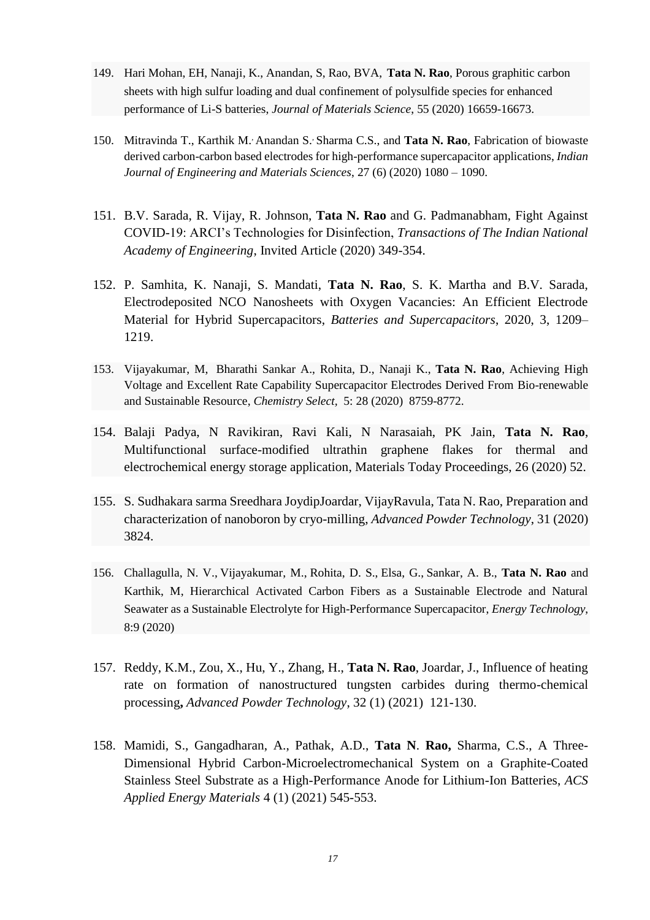- 149. Hari Mohan, EH, Nanaji, K., [Anandan, S,](http://apps.webofknowledge.com/OutboundService.do?SID=D5YsmvUPWRTLhTuwAmn&mode=rrcAuthorRecordService&action=go&product=WOS&lang=en_US&daisIds=41513399) [Rao, BVA,](http://apps.webofknowledge.com/OutboundService.do?SID=D5YsmvUPWRTLhTuwAmn&mode=rrcAuthorRecordService&action=go&product=WOS&lang=en_US&daisIds=39576387) **Tata N. Rao**, Porous graphitic carbon sheets with high sulfur loading and dual confinement of polysulfide species for enhanced performance of Li-S batteries, *Journal of Materials Science*, 55 (2020) 16659-16673.
- 150. [Mitravinda T.,](https://www.scopus.com/authid/detail.uri?authorId=57209327614&eid=2-s2.0-85102733552) [Karthik M.](https://www.scopus.com/authid/detail.uri?authorId=6507052799&eid=2-s2.0-85102733552), [Anandan S.](https://www.scopus.com/authid/detail.uri?authorId=14071332900&eid=2-s2.0-85102733552), [Sharma C.S.,](https://www.scopus.com/authid/detail.uri?authorId=57222468647&eid=2-s2.0-85102733552) and **Tata N. Rao**, Fabrication of biowaste derived carbon-carbon based electrodes for high-performance supercapacitor applications, *[Indian](https://www.scopus.com/sourceid/29812) Journal of [Engineering](https://www.scopus.com/sourceid/29812) and Materials Sciences*, 27 (6) (2020) 1080 – 1090.
- 151. B.V. Sarada, R. Vijay, R. Johnson, **Tata N. Rao** and G. Padmanabham, Fight Against COVID-19: ARCI's Technologies for Disinfection, *Transactions of The Indian National Academy of Engineering*, Invited Article (2020) 349-354.
- 152. P. Samhita, K. Nanaji, S. Mandati, **Tata N. Rao**, S. K. Martha and B.V. Sarada, Electrodeposited NCO Nanosheets with Oxygen Vacancies: An Efficient Electrode Material for Hybrid Supercapacitors, *Batteries and Supercapacitors*, 2020, 3, 1209– 1219.
- 153. Vijayakumar, M, Bharathi Sankar A., Rohita, D., Nanaji K., **Tata N. Rao**, [Achieving High](http://apps.webofknowledge.com/full_record.do?product=WOS&search_mode=GeneralSearch&qid=10&SID=D5YsmvUPWRTLhTuwAmn&page=1&doc=2)  [Voltage and Excellent Rate Capability Supercapacitor Electrodes Derived From Bio-renewable](http://apps.webofknowledge.com/full_record.do?product=WOS&search_mode=GeneralSearch&qid=10&SID=D5YsmvUPWRTLhTuwAmn&page=1&doc=2)  [and Sustainable Resource,](http://apps.webofknowledge.com/full_record.do?product=WOS&search_mode=GeneralSearch&qid=10&SID=D5YsmvUPWRTLhTuwAmn&page=1&doc=2) *Chemistry Select,* 5: 28 (2020) 8759-8772.
- 154. Balaji Padya, N Ravikiran, Ravi Kali, N Narasaiah, PK Jain, **Tata N. Rao**, [Multifunctional surface-modified ultrathin graphene flakes for thermal and](https://www.sciencedirect.com/science/article/pii/S2214785319313227)  [electrochemical energy storage application,](https://www.sciencedirect.com/science/article/pii/S2214785319313227) Materials Today Proceedings, 26 (2020) 52.
- 155. S. [Sudhakara sarma Sreedhara](https://www.sciencedirect.com/science/article/pii/S0921883120303599#!) [JoydipJoardar, VijayRavula,](https://www.sciencedirect.com/science/article/pii/S0921883120303599#!) Tata N. Rao, Preparation and characterization of nanoboron by cryo-milling, *Advanced Powder Technology*, 31 (2020) 3824.
- 156. [Challagulla, N. V.](http://apps.webofknowledge.com/OutboundService.do?SID=D5YsmvUPWRTLhTuwAmn&mode=rrcAuthorRecordService&action=go&product=WOS&lang=en_US&daisIds=40470486), [Vijayakumar, M.](http://apps.webofknowledge.com/OutboundService.do?SID=D5YsmvUPWRTLhTuwAmn&mode=rrcAuthorRecordService&action=go&product=WOS&lang=en_US&daisIds=2018491), Rohita, D. S., [Elsa, G.](http://apps.webofknowledge.com/OutboundService.do?SID=D5YsmvUPWRTLhTuwAmn&mode=rrcAuthorRecordService&action=go&product=WOS&lang=en_US&daisIds=40449867), Sankar, A. B., **Tata N. Rao** and [Karthik, M,](http://apps.webofknowledge.com/OutboundService.do?SID=D5YsmvUPWRTLhTuwAmn&mode=rrcAuthorRecordService&action=go&product=WOS&lang=en_US&daisIds=30568900) Hierarchical Activated Carbon Fibers as a Sustainable Electrode and Natural Seawater as a Sustainable Electrolyte for High-Performance Supercapacitor, *Energy Technology*, 8:9 (2020)
- 157. Reddy, K.M., Zou, X., Hu, Y., Zhang, H., **Tata N. Rao**, Joardar, J., Influence of heating rate on formation of nanostructured tungsten carbides during thermo-chemical processing**,** *Advanced Powder Technology*, 32 (1) (2021) 121-130.
- 158. Mamidi, S., Gangadharan, A., Pathak, A.D., **Tata N**. **Rao,** Sharma, C.S., A Three-Dimensional Hybrid Carbon-Microelectromechanical System on a Graphite-Coated Stainless Steel Substrate as a High-Performance Anode for Lithium-Ion Batteries, *ACS Applied Energy Materials* 4 (1) (2021) 545-553.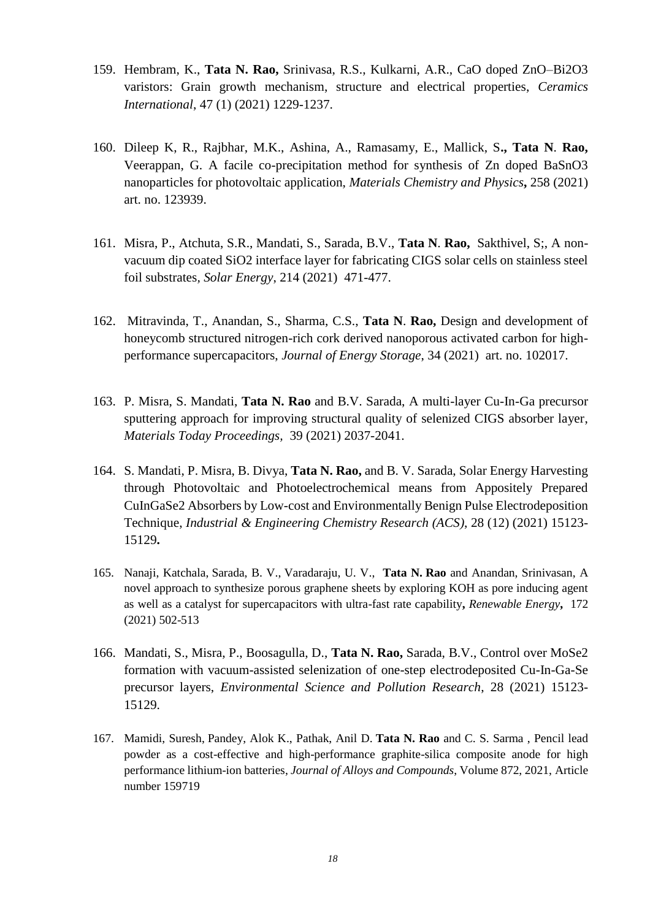- 159. Hembram, K., **Tata N. Rao,** Srinivasa, R.S., Kulkarni, A.R., CaO doped ZnO–Bi2O3 varistors: Grain growth mechanism, structure and electrical properties, *Ceramics International*, 47 (1) (2021) 1229-1237.
- 160. Dileep K, R., Rajbhar, M.K., Ashina, A., Ramasamy, E., Mallick, S**., Tata N**. **Rao,**  Veerappan, G. A facile co-precipitation method for synthesis of Zn doped BaSnO3 nanoparticles for photovoltaic application, *Materials Chemistry and Physics***,** 258 (2021) art. no. 123939.
- 161. Misra, P., Atchuta, S.R., Mandati, S., Sarada, B.V., **Tata N**. **Rao,** Sakthivel, S;, A nonvacuum dip coated SiO2 interface layer for fabricating CIGS solar cells on stainless steel foil substrates*, Solar Energy*, 214 (2021) 471-477.
- 162. Mitravinda, T., Anandan, S., Sharma, C.S., **Tata N**. **Rao,** Design and development of honeycomb structured nitrogen-rich cork derived nanoporous activated carbon for highperformance supercapacitors, *Journal of Energy Storage*, 34 (2021) art. no. 102017.
- 163. P. Misra, S. Mandati, **Tata N. Rao** and B.V. Sarada, A multi-layer Cu-In-Ga precursor sputtering approach for improving structural quality of selenized CIGS absorber layer, *Materials Today Proceedings,* 39 (2021) 2037-2041.
- 164. S. Mandati, P. Misra, B. Divya, **Tata N. Rao,** and B. V. Sarada, Solar Energy Harvesting through Photovoltaic and Photoelectrochemical means from Appositely Prepared CuInGaSe2 Absorbers by Low-cost and Environmentally Benign Pulse Electrodeposition Technique, *Industrial & Engineering Chemistry Research (ACS)*, 28 (12) (2021) 15123- 15129**.**
- 165. [Nanaji, Katchala,](https://app.webofknowledge.com/author/record/25984230) Sarada, B. V., [Varadaraju, U. V.,](https://app.webofknowledge.com/author/record/40841589) **[Tata N.](https://app.webofknowledge.com/author/record/29398749) Rao** and Anandan, Srinivasan, [A](https://gateway.webofknowledge.com/gateway/Gateway.cgi?DestApp=WOS&GWVersion=2&SrcApp=RRC&locale=en_US&SrcAuth=RRC&DestLinkType=FullRecord&KeyUT=WOS:000641148800003)  [novel approach to synthesize porous graphene sheets by exploring KOH as pore inducing agent](https://gateway.webofknowledge.com/gateway/Gateway.cgi?DestApp=WOS&GWVersion=2&SrcApp=RRC&locale=en_US&SrcAuth=RRC&DestLinkType=FullRecord&KeyUT=WOS:000641148800003)  [as well as a catalyst for supercapacitors with ultra-fast rate capability](https://gateway.webofknowledge.com/gateway/Gateway.cgi?DestApp=WOS&GWVersion=2&SrcApp=RRC&locale=en_US&SrcAuth=RRC&DestLinkType=FullRecord&KeyUT=WOS:000641148800003)**,** *Renewable Energy***,** 172 (2021) 502-513
- 166. Mandati, S., Misra, P., Boosagulla, D., **Tata N. Rao,** Sarada, B.V., Control over MoSe2 formation with vacuum-assisted selenization of one-step electrodeposited Cu-In-Ga-Se precursor layers, *Environmental Science and Pollution Research*, 28 (2021) 15123- 15129.
- 167. [Mamidi, Suresh,](https://app.webofknowledge.com/author/record/14177173) Pandey, Alok K., [Pathak, Anil D.](https://app.webofknowledge.com/author/record/41420225) **Tata N. Rao** and C. S. Sarma , [Pencil lead](https://gateway.webofknowledge.com/gateway/Gateway.cgi?DestApp=WOS&GWVersion=2&SrcApp=RRC&locale=en_US&SrcAuth=RRC&DestLinkType=FullRecord&KeyUT=WOS:000647665700001)  [powder as a cost-effective and high-performance graphite-silica composite anode for high](https://gateway.webofknowledge.com/gateway/Gateway.cgi?DestApp=WOS&GWVersion=2&SrcApp=RRC&locale=en_US&SrcAuth=RRC&DestLinkType=FullRecord&KeyUT=WOS:000647665700001)  [performance lithium-ion batteries,](https://gateway.webofknowledge.com/gateway/Gateway.cgi?DestApp=WOS&GWVersion=2&SrcApp=RRC&locale=en_US&SrcAuth=RRC&DestLinkType=FullRecord&KeyUT=WOS:000647665700001) *Journal of Alloys and [Compounds](https://www.scopus.com/sourceid/12325)*, Volume 872, 2021, Article number 159719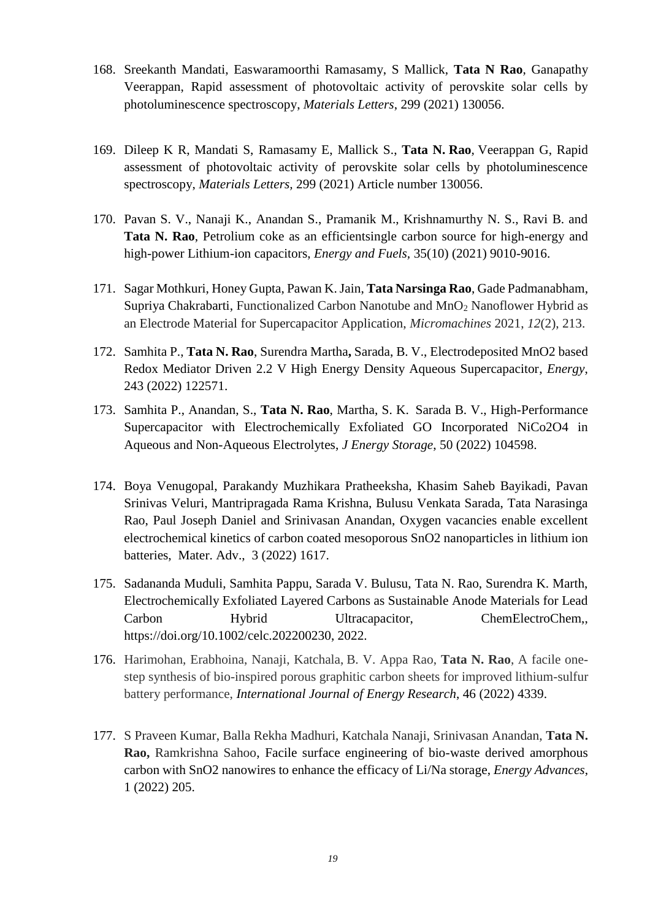- 168. Sreekanth Mandati, Easwaramoorthi Ramasamy, S Mallick, **Tata N Rao**, Ganapathy Veerappan, [Rapid assessment of photovoltaic activity of perovskite solar cells by](https://www.sciencedirect.com/science/article/pii/S0167577X21007539)  [photoluminescence spectroscopy,](https://www.sciencedirect.com/science/article/pii/S0167577X21007539) *Materials Letters*, 299 (2021) 130056.
- 169. Dileep K R, Mandati S, Ramasamy E, Mallick S., **Tata N. Rao**, Veerappan G, Rapid assessment of photovoltaic activity of perovskite solar cells by photoluminescence spectroscopy, *Materials Letters,* 299 (2021) Article number 130056.
- 170. Pavan S. V., Nanaji K., Anandan S., Pramanik M., Krishnamurthy N. S., Ravi B. and **Tata N. Rao**, Petrolium coke as an efficientsingle carbon source for high-energy and high-power Lithium-ion capacitors, *Energy and Fuels,* 35(10) (2021) 9010-9016.
- 171. [Sagar Mothkuri,](https://sciprofiles.com/profile/1457248) [Honey Gupta,](https://sciprofiles.com/profile/1450422) [Pawan K. Jain,](https://sciprofiles.com/profile/author/c0hHRFlVVE1EcWhkMzJWOXdQWjVGam9DMTJ5MjVwa2UxbTZyWTdFNEQ4bz0=) **[Tata Narsinga Rao](https://sciprofiles.com/profile/author/Y1dqak9vRC85c2hyclY4SUJhL3IxVFFUTXRvQTlHZkh4MDRTYXJjd1Y0ST0=)**, [Gade Padmanabham,](https://sciprofiles.com/profile/author/TGpsamYvb1pUQ2NNL0VsaEI1eXVyQT09) [Supriya Chakrabarti,](https://sciprofiles.com/profile/1252751) Functionalized Carbon Nanotube and MnO<sup>2</sup> Nanoflower Hybrid as an Electrode Material for Supercapacitor Application, *Micromachines* 2021, *12*(2), 213.
- 172. Samhita P., **Tata N. Rao**, Surendra Martha**,** Sarada, B. V., Electrodeposited MnO2 based Redox Mediator Driven 2.2 V High Energy Density Aqueous Supercapacitor, *Energy*, 243 (2022) 122571.
- 173. Samhita P., Anandan, S., **Tata N. Rao**, Martha, S. K. Sarada B. V., High-Performance Supercapacitor with Electrochemically Exfoliated GO Incorporated NiCo2O4 in Aqueous and Non-Aqueous Electrolytes, *J Energy Storage*, 50 (2022) 104598.
- 174. Boya Venugopal, Parakandy Muzhikara Pratheeksha, Khasim Saheb Bayikadi, Pavan Srinivas Veluri, Mantripragada Rama Krishna, Bulusu Venkata Sarada, Tata Narasinga Rao, Paul Joseph Daniel and Srinivasan Anandan, Oxygen vacancies enable excellent electrochemical kinetics of carbon coated mesoporous SnO2 nanoparticles in lithium ion batteries, Mater. Adv., 3 (2022) 1617.
- 175. Sadananda Muduli, Samhita Pappu, Sarada V. Bulusu, Tata N. Rao, Surendra K. Marth, Electrochemically Exfoliated Layered Carbons as Sustainable Anode Materials for Lead Carbon Hybrid Ultracapacitor, ChemElectroChem,, https://doi.org/10.1002/celc.202200230, 2022.
- 176. Harimohan, Erabhoina, Nanaji, Katchala, B. V. Appa Rao, **Tata N. Rao**, A facile onestep synthesis of bio-inspired porous graphitic carbon sheets for improved lithium-sulfur battery performance, *[International](https://www.scopus.com/sourceid/26676) Journal of Energy Research*, 46 (2022) 4339.
- 177. S Praveen Kumar, Balla Rekha Madhuri, Katchala Nanaji, Srinivasan Anandan, **Tata N. Rao,** Ramkrishna Sahoo, [Facile surface engineering of bio-waste derived amorphous](https://pubs.rsc.org/en/content/articlehtml/2022/ya/d1ya00021g)  [carbon with SnO2 nanowires to enhance the efficacy of Li/Na storage,](https://pubs.rsc.org/en/content/articlehtml/2022/ya/d1ya00021g) *Energy Advances*, 1 (2022) 205.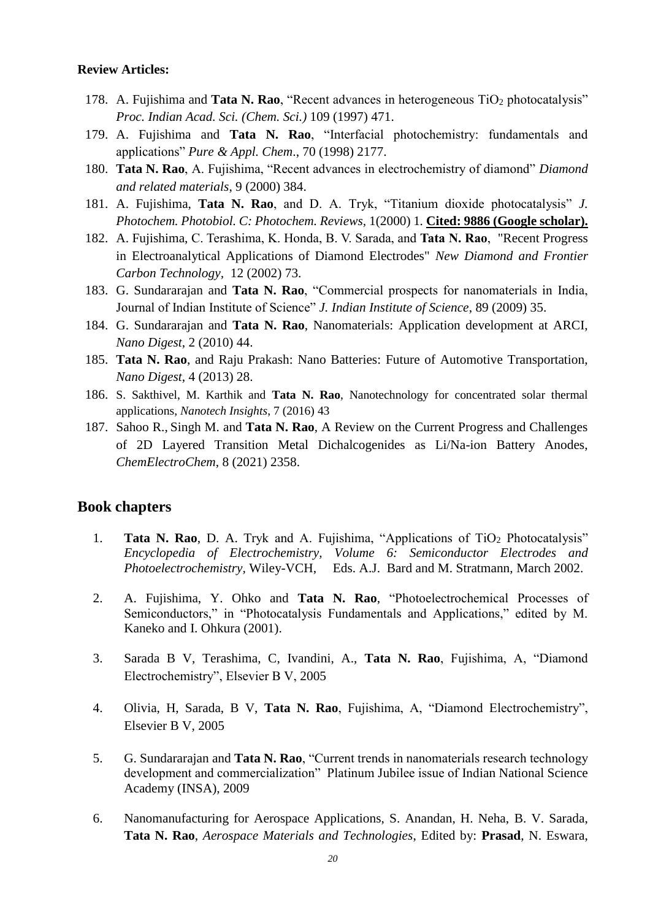#### **Review Articles:**

- 178. A. Fujishima and **Tata N. Rao**, "Recent advances in heterogeneous TiO<sub>2</sub> photocatalysis" *Proc. Indian Acad. Sci. (Chem. Sci.)* 109 (1997) 471.
- 179. A. Fujishima and **Tata N. Rao**, "Interfacial photochemistry: fundamentals and applications" *Pure & Appl. Chem*., 70 (1998) 2177.
- 180. **Tata N. Rao**, A. Fujishima, "Recent advances in electrochemistry of diamond" *Diamond and related materials*, 9 (2000) 384.
- 181. A. Fujishima, **Tata N. Rao**, and D. A. Tryk, "Titanium dioxide photocatalysis" *J. Photochem. Photobiol. C: Photochem. Reviews,* 1(2000) 1*.* **Cited: 9886 (Google scholar).**
- 182. A. Fujishima, C. Terashima, K. Honda, B. V. Sarada, and **Tata N. Rao**, "Recent Progress in Electroanalytical Applications of Diamond Electrodes" *New Diamond and Frontier Carbon Technology,* 12 (2002) 73.
- 183. G. Sundararajan and **Tata N. Rao**, "Commercial prospects for nanomaterials in India, Journal of Indian Institute of Science" *J. Indian Institute of Science*, 89 (2009) 35.
- 184. G. Sundararajan and **Tata N. Rao**, Nanomaterials: Application development at ARCI, *Nano Digest*, 2 (2010) 44.
- 185. **Tata N. Rao**, and Raju Prakash: Nano Batteries: Future of Automotive Transportation, *Nano Digest*, 4 (2013) 28.
- 186. S. Sakthivel, M. Karthik and **Tata N. Rao**, Nanotechnology for concentrated solar thermal applications, *Nanotech Insights*, 7 (2016) 43
- 187. [Sahoo R.,](https://www.scopus.com/authid/detail.uri?authorId=57105900600&eid=2-s2.0-85106314095) [Singh M.](https://www.scopus.com/authid/detail.uri?authorId=57223846931&eid=2-s2.0-85106314095) and **Tata N. Rao**, A Review on the Current Progress and Challenges of 2D Layered Transition Metal Dichalcogenides as Li/Na-ion Battery Anodes, *[ChemElectroChem](https://www.scopus.com/sourceid/21100399828)*, 8 (2021) 2358.

#### **Book chapters**

- 1. **Tata N. Rao**, D. A. Tryk and A. Fujishima, "Applications of TiO<sub>2</sub> Photocatalysis" *Encyclopedia of Electrochemistry, Volume 6: Semiconductor Electrodes and Photoelectrochemistry,* Wiley-VCH, Eds. A.J. Bard and M. Stratmann, March 2002.
- 2. A. Fujishima, Y. Ohko and **Tata N. Rao**, "Photoelectrochemical Processes of Semiconductors," in "Photocatalysis Fundamentals and Applications," edited by M. Kaneko and I. Ohkura (2001).
- 3. Sarada B V, Terashima, C, Ivandini, A., **Tata N. Rao**, Fujishima, A, "Diamond Electrochemistry", Elsevier B V, 2005
- 4. Olivia, H, Sarada, B V, **Tata N. Rao**, Fujishima, A, "Diamond Electrochemistry", Elsevier B V, 2005
- 5. G. Sundararajan and **Tata N. Rao**, "Current trends in nanomaterials research technology development and commercialization" Platinum Jubilee issue of Indian National Science Academy (INSA), 2009
- 6. Nanomanufacturing for Aerospace Applications, S. Anandan, H. Neha, B. V. Sarada, **Tata N. Rao**, *Aerospace Materials and Technologies*, Edited by: **Prasad**, N. Eswara,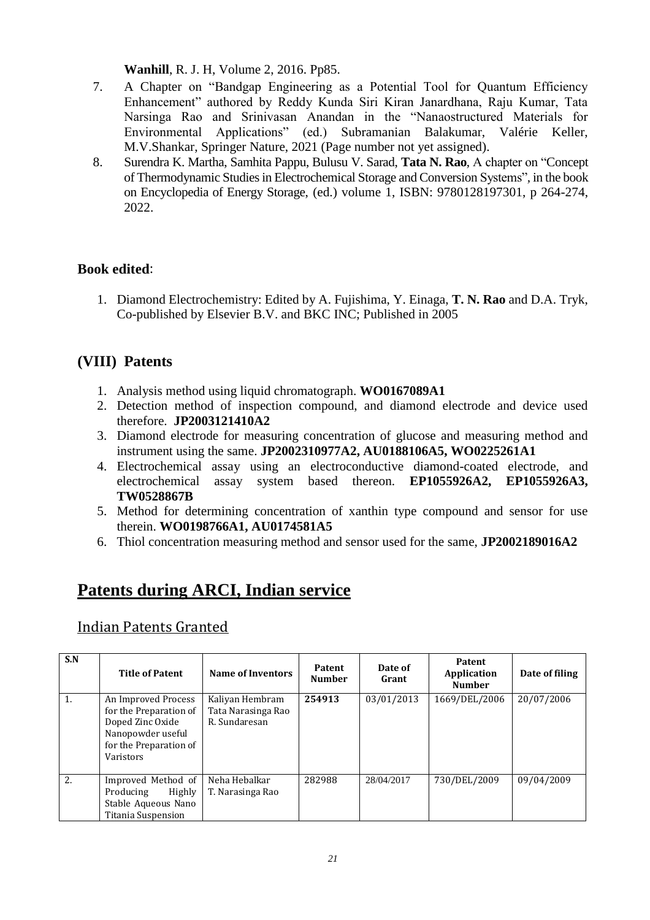**Wanhill**, R. J. H, Volume 2, 2016. Pp85.

- 7. A Chapter on "Bandgap Engineering as a Potential Tool for Quantum Efficiency Enhancement" authored by Reddy Kunda Siri Kiran Janardhana, Raju Kumar, Tata Narsinga Rao and Srinivasan Anandan in the "Nanaostructured Materials for Environmental Applications" (ed.) Subramanian Balakumar, Valérie Keller, M.V.Shankar, Springer Nature, 2021 (Page number not yet assigned).
- 8. Surendra K. Martha, Samhita Pappu, Bulusu V. Sarad, **Tata N. Rao**, A chapter on "Concept of Thermodynamic Studies in Electrochemical Storage and Conversion Systems"*,* in the book on Encyclopedia of Energy Storage, (ed.) volume 1, ISBN: 9780128197301, p 264-274, 2022.

### **Book edited**:

1. Diamond Electrochemistry: Edited by A. Fujishima, Y. Einaga, **T. N. Rao** and D.A. Tryk, Co-published by Elsevier B.V. and BKC INC; Published in 2005

## **(VIII) Patents**

- 1. Analysis method using liquid chromatograph. **WO0167089A1**
- 2. Detection method of inspection compound, and diamond electrode and device used therefore. **JP2003121410A2**
- 3. Diamond electrode for measuring concentration of glucose and measuring method and instrument using the same. **JP2002310977A2, AU0188106A5, WO0225261A1**
- 4. Electrochemical assay using an electroconductive diamond-coated electrode, and electrochemical assay system based thereon. **EP1055926A2, EP1055926A3, TW0528867B**
- 5. Method for determining concentration of xanthin type compound and sensor for use therein. **WO0198766A1, AU0174581A5**
- 6. Thiol concentration measuring method and sensor used for the same, **JP2002189016A2**

# **Patents during ARCI, Indian service**

## Indian Patents Granted

| S.N | <b>Title of Patent</b>                                                                                                        | <b>Name of Inventors</b>                               | Patent<br><b>Number</b> | Date of<br>Grant | <b>Patent</b><br>Application<br><b>Number</b> | Date of filing |
|-----|-------------------------------------------------------------------------------------------------------------------------------|--------------------------------------------------------|-------------------------|------------------|-----------------------------------------------|----------------|
| 1.  | An Improved Process<br>for the Preparation of<br>Doped Zinc Oxide<br>Nanopowder useful<br>for the Preparation of<br>Varistors | Kaliyan Hembram<br>Tata Narasinga Rao<br>R. Sundaresan | 254913                  | 03/01/2013       | 1669/DEL/2006                                 | 20/07/2006     |
| 2.  | Improved Method of<br>Producing<br>Highly<br>Stable Aqueous Nano<br>Titania Suspension                                        | Neha Hebalkar<br>T. Narasinga Rao                      | 282988                  | 28/04/2017       | 730/DEL/2009                                  | 09/04/2009     |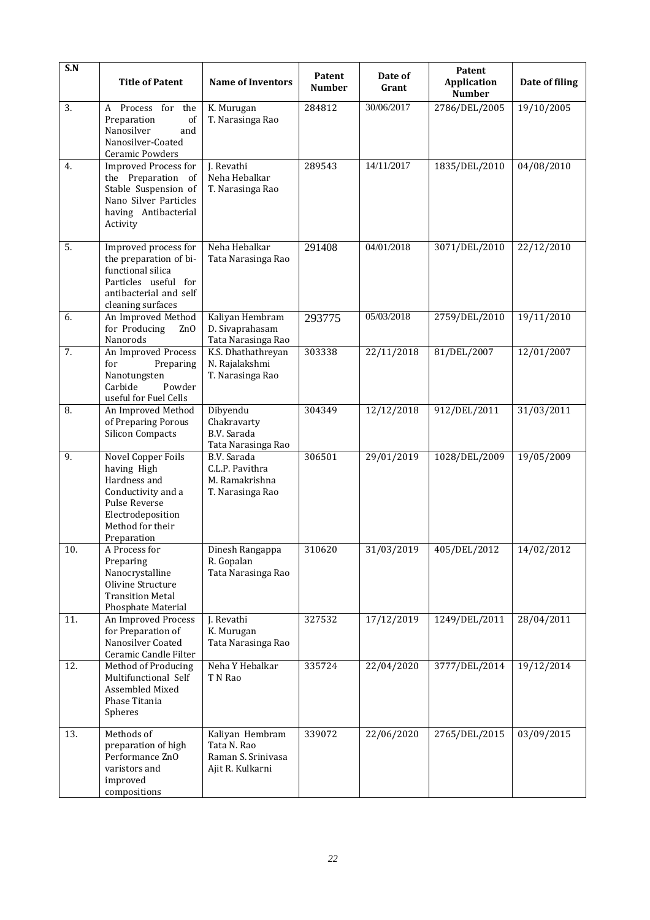| S.N | <b>Title of Patent</b>                                                                                                                           | <b>Name of Inventors</b>                                                 | Patent<br><b>Number</b> | Date of<br>Grant | Patent<br><b>Application</b><br><b>Number</b> | Date of filing |
|-----|--------------------------------------------------------------------------------------------------------------------------------------------------|--------------------------------------------------------------------------|-------------------------|------------------|-----------------------------------------------|----------------|
| 3.  | A Process for the<br>Preparation<br>of<br>Nanosilver<br>and<br>Nanosilver-Coated<br>Ceramic Powders                                              | K. Murugan<br>T. Narasinga Rao                                           | 284812                  | 30/06/2017       | 2786/DEL/2005                                 | 19/10/2005     |
| 4.  | <b>Improved Process for</b><br>the Preparation of<br>Stable Suspension of<br>Nano Silver Particles<br>having Antibacterial<br>Activity           | J. Revathi<br>Neha Hebalkar<br>T. Narasinga Rao                          | 289543                  | 14/11/2017       | 1835/DEL/2010                                 | 04/08/2010     |
| 5.  | Improved process for<br>the preparation of bi-<br>functional silica<br>Particles useful for<br>antibacterial and self<br>cleaning surfaces       | Neha Hebalkar<br>Tata Narasinga Rao                                      | 291408                  | 04/01/2018       | 3071/DEL/2010                                 | 22/12/2010     |
| 6.  | An Improved Method<br>for Producing<br>Zn <sub>0</sub><br>Nanorods                                                                               | Kaliyan Hembram<br>D. Sivaprahasam<br>Tata Narasinga Rao                 | 293775                  | 05/03/2018       | 2759/DEL/2010                                 | 19/11/2010     |
| 7.  | An Improved Process<br>for<br>Preparing<br>Nanotungsten<br>Carbide<br>Powder<br>useful for Fuel Cells                                            | K.S. Dhathathreyan<br>N. Rajalakshmi<br>T. Narasinga Rao                 | 303338                  | 22/11/2018       | 81/DEL/2007                                   | 12/01/2007     |
| 8.  | An Improved Method<br>of Preparing Porous<br><b>Silicon Compacts</b>                                                                             | Dibyendu<br>Chakravarty<br>B.V. Sarada<br>Tata Narasinga Rao             | 304349                  | 12/12/2018       | 912/DEL/2011                                  | 31/03/2011     |
| 9.  | Novel Copper Foils<br>having High<br>Hardness and<br>Conductivity and a<br>Pulse Reverse<br>Electrodeposition<br>Method for their<br>Preparation | B.V. Sarada<br>C.L.P. Pavithra<br>M. Ramakrishna<br>T. Narasinga Rao     | 306501                  | 29/01/2019       | 1028/DEL/2009                                 | 19/05/2009     |
| 10. | A Process for<br>Preparing<br>Nanocrystalline<br>Olivine Structure<br><b>Transition Metal</b><br>Phosphate Material                              | Dinesh Rangappa<br>R. Gopalan<br>Tata Narasinga Rao                      | 310620                  | 31/03/2019       | 405/DEL/2012                                  | 14/02/2012     |
| 11. | An Improved Process<br>for Preparation of<br>Nanosilver Coated<br>Ceramic Candle Filter                                                          | J. Revathi<br>K. Murugan<br>Tata Narasinga Rao                           | 327532                  | 17/12/2019       | 1249/DEL/2011                                 | 28/04/2011     |
| 12. | Method of Producing<br>Multifunctional Self<br>Assembled Mixed<br>Phase Titania<br>Spheres                                                       | Neha Y Hebalkar<br>T N Rao                                               | 335724                  | 22/04/2020       | 3777/DEL/2014                                 | 19/12/2014     |
| 13. | Methods of<br>preparation of high<br>Performance ZnO<br>varistors and<br>improved<br>compositions                                                | Kaliyan Hembram<br>Tata N. Rao<br>Raman S. Srinivasa<br>Ajit R. Kulkarni | 339072                  | 22/06/2020       | 2765/DEL/2015                                 | 03/09/2015     |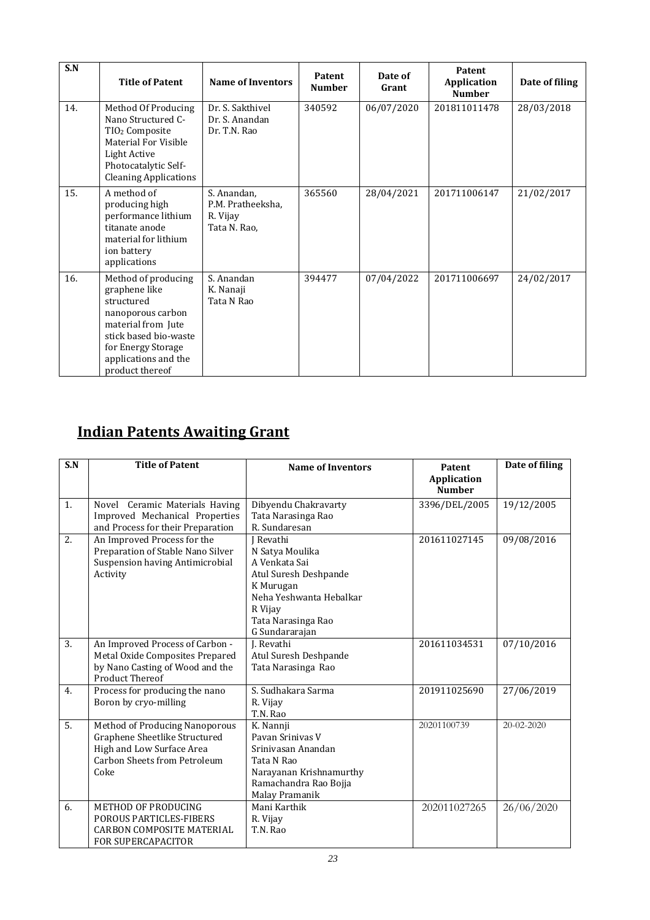| S.N | <b>Title of Patent</b>                                                                                                                                                                  | <b>Name of Inventors</b>                                     | Patent<br><b>Number</b> | Date of<br>Grant | Patent<br><b>Application</b><br><b>Number</b> | Date of filing |
|-----|-----------------------------------------------------------------------------------------------------------------------------------------------------------------------------------------|--------------------------------------------------------------|-------------------------|------------------|-----------------------------------------------|----------------|
| 14. | Method Of Producing<br>Nano Structured C-<br>TIO <sub>2</sub> Composite<br>Material For Visible<br><b>Light Active</b><br>Photocatalytic Self-<br><b>Cleaning Applications</b>          | Dr. S. Sakthivel<br>Dr. S. Anandan<br>Dr. T.N. Rao           | 340592                  | 06/07/2020       | 201811011478                                  | 28/03/2018     |
| 15. | A method of<br>producing high<br>performance lithium<br>titanate anode<br>material for lithium<br>ion battery<br>applications                                                           | S. Anandan,<br>P.M. Pratheeksha,<br>R. Vijay<br>Tata N. Rao, | 365560                  | 28/04/2021       | 201711006147                                  | 21/02/2017     |
| 16. | Method of producing<br>graphene like<br>structured<br>nanoporous carbon<br>material from Jute<br>stick based bio-waste<br>for Energy Storage<br>applications and the<br>product thereof | S. Anandan<br>K. Nanaji<br>Tata N Rao                        | 394477                  | 07/04/2022       | 201711006697                                  | 24/02/2017     |

# **Indian Patents Awaiting Grant**

| S.N              | <b>Title of Patent</b>                 | <b>Name of Inventors</b> | Patent                              | Date of filing   |
|------------------|----------------------------------------|--------------------------|-------------------------------------|------------------|
|                  |                                        |                          | <b>Application</b><br><b>Number</b> |                  |
| $\overline{1}$ . | Novel Ceramic Materials Having         | Dibyendu Chakravarty     | 3396/DEL/2005                       | 19/12/2005       |
|                  | Improved Mechanical Properties         | Tata Narasinga Rao       |                                     |                  |
|                  | and Process for their Preparation      | R. Sundaresan            |                                     |                  |
| 2.               | An Improved Process for the            | J Revathi                | 201611027145                        | 09/08/2016       |
|                  | Preparation of Stable Nano Silver      | N Satya Moulika          |                                     |                  |
|                  | <b>Suspension having Antimicrobial</b> | A Venkata Sai            |                                     |                  |
|                  | Activity                               | Atul Suresh Deshpande    |                                     |                  |
|                  |                                        | K Murugan                |                                     |                  |
|                  |                                        | Neha Yeshwanta Hebalkar  |                                     |                  |
|                  |                                        | R Vijav                  |                                     |                  |
|                  |                                        | Tata Narasinga Rao       |                                     |                  |
|                  |                                        | G Sundararajan           |                                     |                  |
| 3.               | An Improved Process of Carbon -        | J. Revathi               | 201611034531                        | 07/10/2016       |
|                  | Metal Oxide Composites Prepared        | Atul Suresh Deshpande    |                                     |                  |
|                  | by Nano Casting of Wood and the        | Tata Narasinga Rao       |                                     |                  |
|                  | <b>Product Thereof</b>                 |                          |                                     |                  |
| 4.               | Process for producing the nano         | S. Sudhakara Sarma       | 201911025690                        | 27/06/2019       |
|                  | Boron by cryo-milling                  | R. Vijay                 |                                     |                  |
|                  |                                        | T.N. Rao                 |                                     |                  |
| $\overline{5}$ . | Method of Producing Nanoporous         | K. Nannji                | 20201100739                         | $20 - 02 - 2020$ |
|                  | Graphene Sheetlike Structured          | Pavan Srinivas V         |                                     |                  |
|                  | High and Low Surface Area              | Sriniyasan Anandan       |                                     |                  |
|                  | Carbon Sheets from Petroleum           | Tata N Rao               |                                     |                  |
|                  | Coke                                   | Narayanan Krishnamurthy  |                                     |                  |
|                  |                                        | Ramachandra Rao Bojja    |                                     |                  |
|                  |                                        | Malay Pramanik           |                                     |                  |
| 6.               | METHOD OF PRODUCING                    | Mani Karthik             | 202011027265                        | 26/06/2020       |
|                  | POROUS PARTICLES-FIBERS                | R. Vijay                 |                                     |                  |
|                  | <b>CARBON COMPOSITE MATERIAL</b>       | T.N. Rao                 |                                     |                  |
|                  | <b>FOR SUPERCAPACITOR</b>              |                          |                                     |                  |